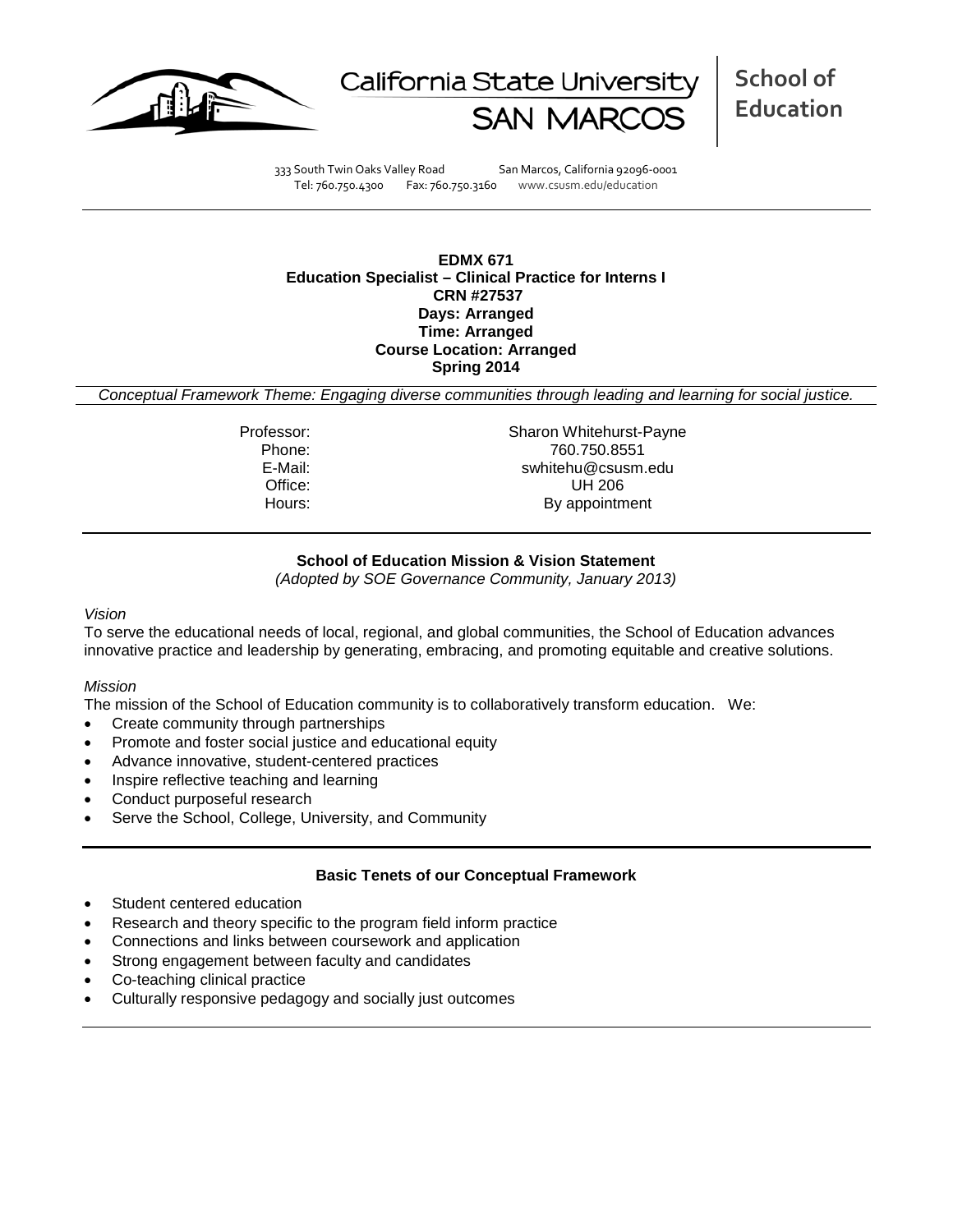



**School of Education**

333 South Twin Oaks Valley Road San Marcos, California 92096-0001 Tel: 760.750.4300 Fax: 760.750.3160 www.csusm.edu/education

**EDMX 671 Education Specialist – Clinical Practice for Interns I CRN #27537 Days: Arranged Time: Arranged Course Location: Arranged Spring 2014** 

*Conceptual Framework Theme: Engaging diverse communities through leading and learning for social justice.*

Professor: Sharon Whitehurst-Payne<br>Phone: 760.750.8551 Phone: 760.750.8551 E-Mail: swhitehu@csusm.edu Office: UH 206<br>
Hours: By appointm By appointment

### **School of Education Mission & Vision Statement**

*(Adopted by SOE Governance Community, January 2013)*

#### *Vision*

To serve the educational needs of local, regional, and global communities, the School of Education advances innovative practice and leadership by generating, embracing, and promoting equitable and creative solutions.

#### *Mission*

The mission of the School of Education community is to collaboratively transform education. We:

- Create community through partnerships
- Promote and foster social justice and educational equity
- Advance innovative, student-centered practices
- Inspire reflective teaching and learning
- Conduct purposeful research
- Serve the School, College, University, and Community

#### **Basic Tenets of our Conceptual Framework**

- Student centered education
- Research and theory specific to the program field inform practice
- Connections and links between coursework and application
- Strong engagement between faculty and candidates
- Co-teaching clinical practice
- Culturally responsive pedagogy and socially just outcomes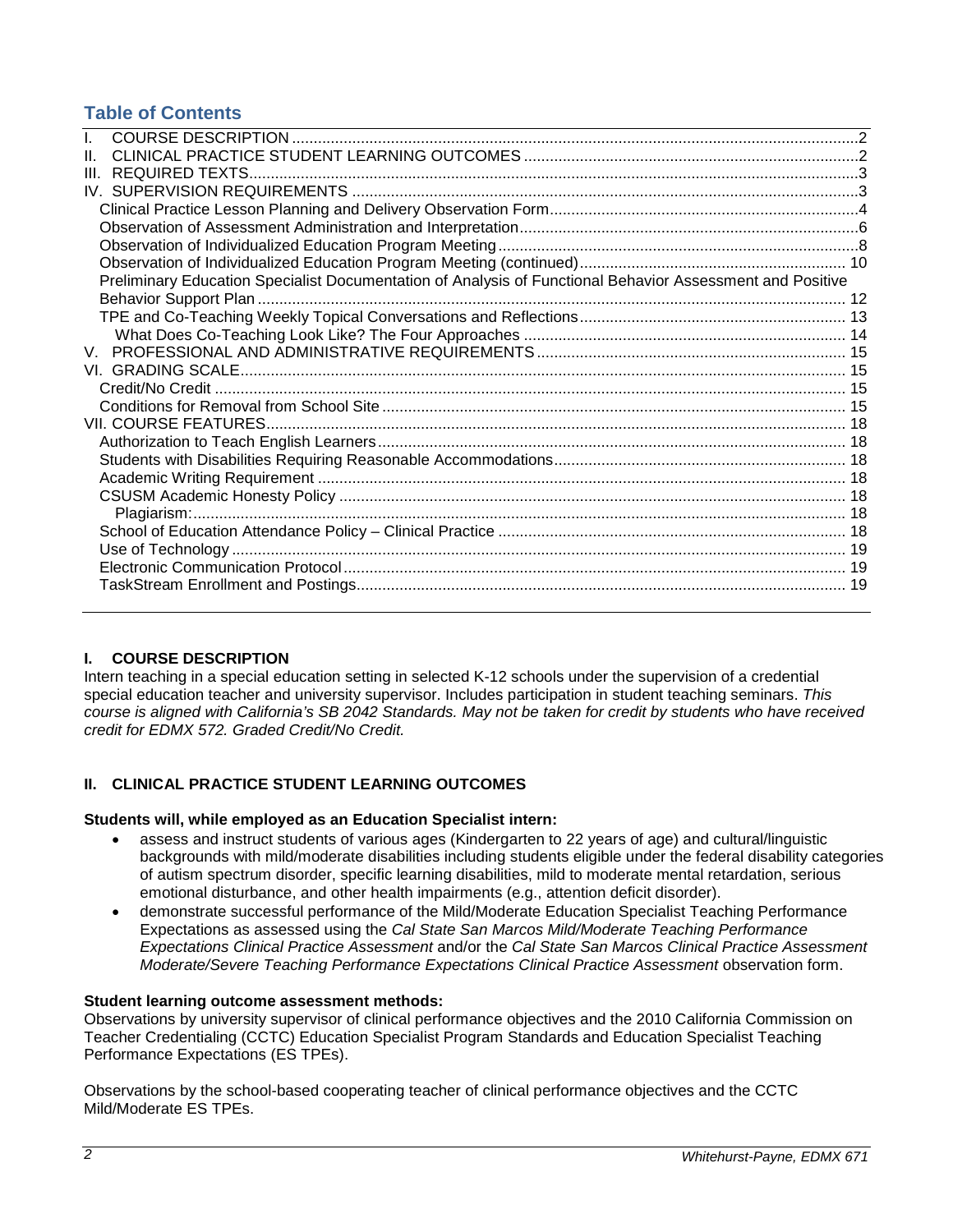# **Table of Contents**

| III.                                                                                                      |  |
|-----------------------------------------------------------------------------------------------------------|--|
|                                                                                                           |  |
|                                                                                                           |  |
|                                                                                                           |  |
|                                                                                                           |  |
|                                                                                                           |  |
| Preliminary Education Specialist Documentation of Analysis of Functional Behavior Assessment and Positive |  |
|                                                                                                           |  |
|                                                                                                           |  |
|                                                                                                           |  |
|                                                                                                           |  |
|                                                                                                           |  |
|                                                                                                           |  |
|                                                                                                           |  |
|                                                                                                           |  |
|                                                                                                           |  |
|                                                                                                           |  |
|                                                                                                           |  |
|                                                                                                           |  |
|                                                                                                           |  |
|                                                                                                           |  |
|                                                                                                           |  |
|                                                                                                           |  |
|                                                                                                           |  |
|                                                                                                           |  |

### <span id="page-1-0"></span>**I. COURSE DESCRIPTION**

Intern teaching in a special education setting in selected K-12 schools under the supervision of a credential special education teacher and university supervisor. Includes participation in student teaching seminars. *This course is aligned with California's SB 2042 Standards. May not be taken for credit by students who have received credit for EDMX 572. Graded Credit/No Credit.*

# <span id="page-1-1"></span>**II. CLINICAL PRACTICE STUDENT LEARNING OUTCOMES**

### **Students will, while employed as an Education Specialist intern:**

- assess and instruct students of various ages (Kindergarten to 22 years of age) and cultural/linguistic backgrounds with mild/moderate disabilities including students eligible under the federal disability categories of autism spectrum disorder, specific learning disabilities, mild to moderate mental retardation, serious emotional disturbance, and other health impairments (e.g., attention deficit disorder).
- demonstrate successful performance of the Mild/Moderate Education Specialist Teaching Performance Expectations as assessed using the *Cal State San Marcos Mild/Moderate Teaching Performance Expectations Clinical Practice Assessment* and/or the *Cal State San Marcos Clinical Practice Assessment Moderate/Severe Teaching Performance Expectations Clinical Practice Assessment* observation form.

### **Student learning outcome assessment methods:**

Observations by university supervisor of clinical performance objectives and the 2010 California Commission on Teacher Credentialing (CCTC) Education Specialist Program Standards and Education Specialist Teaching Performance Expectations (ES TPEs).

Observations by the school-based cooperating teacher of clinical performance objectives and the CCTC Mild/Moderate ES TPEs.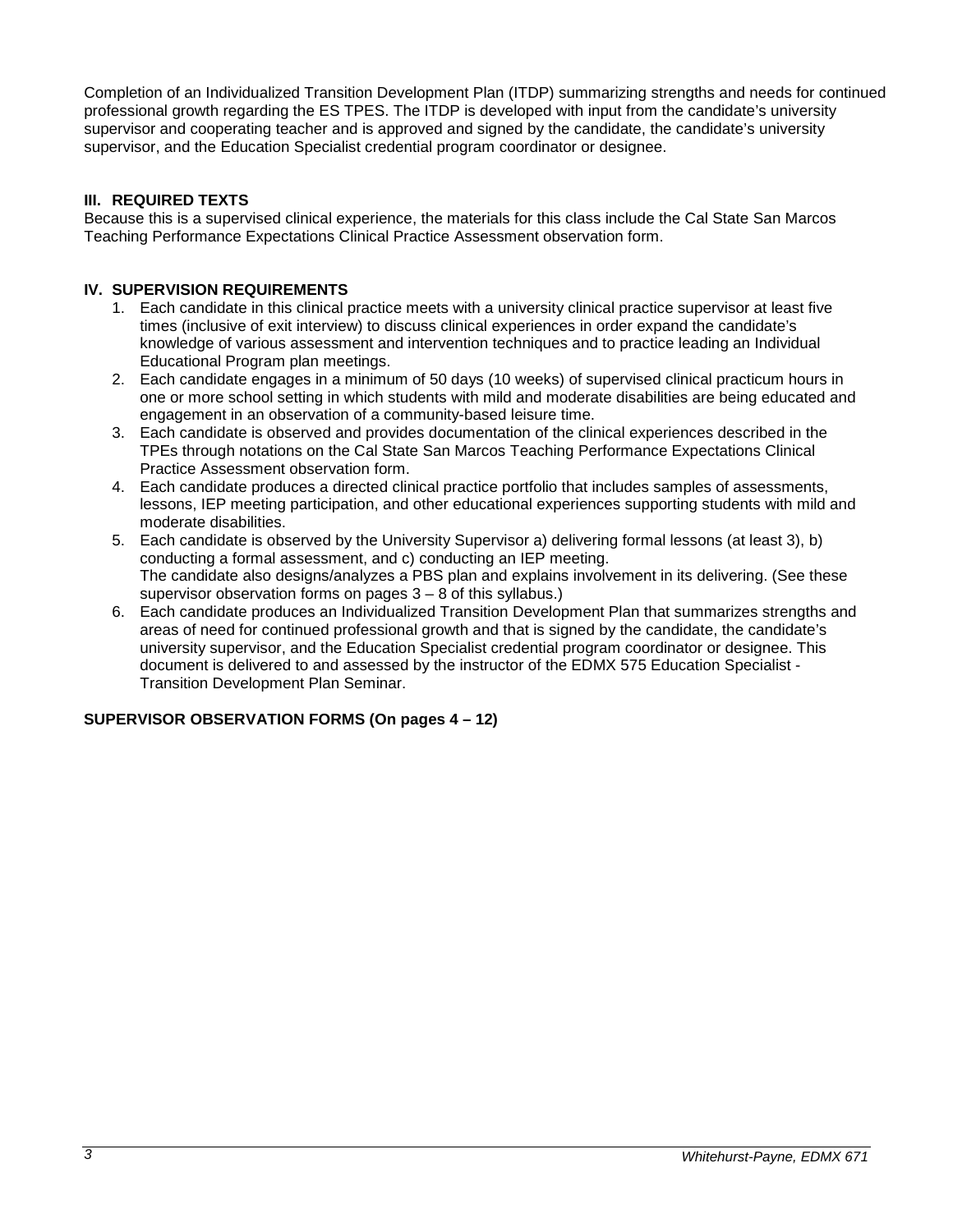Completion of an Individualized Transition Development Plan (ITDP) summarizing strengths and needs for continued professional growth regarding the ES TPES. The ITDP is developed with input from the candidate's university supervisor and cooperating teacher and is approved and signed by the candidate, the candidate's university supervisor, and the Education Specialist credential program coordinator or designee.

# <span id="page-2-0"></span>**III. REQUIRED TEXTS**

Because this is a supervised clinical experience, the materials for this class include the Cal State San Marcos Teaching Performance Expectations Clinical Practice Assessment observation form.

# <span id="page-2-1"></span>**IV. SUPERVISION REQUIREMENTS**

- 1. Each candidate in this clinical practice meets with a university clinical practice supervisor at least five times (inclusive of exit interview) to discuss clinical experiences in order expand the candidate's knowledge of various assessment and intervention techniques and to practice leading an Individual Educational Program plan meetings.
- 2. Each candidate engages in a minimum of 50 days (10 weeks) of supervised clinical practicum hours in one or more school setting in which students with mild and moderate disabilities are being educated and engagement in an observation of a community-based leisure time.
- 3. Each candidate is observed and provides documentation of the clinical experiences described in the TPEs through notations on the Cal State San Marcos Teaching Performance Expectations Clinical Practice Assessment observation form.
- 4. Each candidate produces a directed clinical practice portfolio that includes samples of assessments, lessons, IEP meeting participation, and other educational experiences supporting students with mild and moderate disabilities.
- 5. Each candidate is observed by the University Supervisor a) delivering formal lessons (at least 3), b) conducting a formal assessment, and c) conducting an IEP meeting. The candidate also designs/analyzes a PBS plan and explains involvement in its delivering. (See these supervisor observation forms on pages  $3 - 8$  of this syllabus.)
- 6. Each candidate produces an Individualized Transition Development Plan that summarizes strengths and areas of need for continued professional growth and that is signed by the candidate, the candidate's university supervisor, and the Education Specialist credential program coordinator or designee. This document is delivered to and assessed by the instructor of the EDMX 575 Education Specialist - Transition Development Plan Seminar.

### **SUPERVISOR OBSERVATION FORMS (On pages 4 – 12)**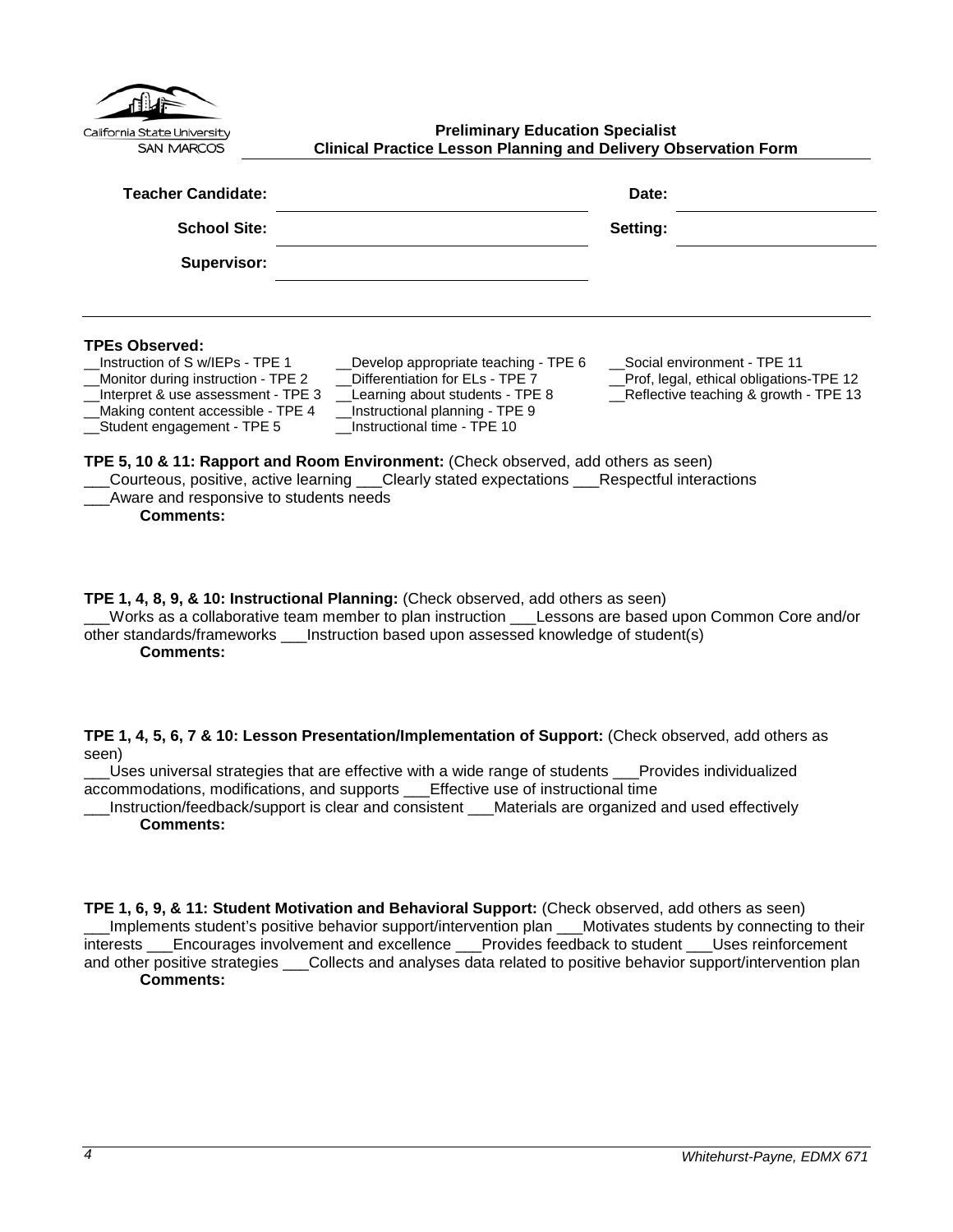<span id="page-3-0"></span>

| California State University<br><b>SAN MARCOS</b>                                                                                                                                                                                                               | <b>Preliminary Education Specialist</b><br><b>Clinical Practice Lesson Planning and Delivery Observation Form</b>                                                                                                                                                                                                                                                       |                                                                                                                 |  |
|----------------------------------------------------------------------------------------------------------------------------------------------------------------------------------------------------------------------------------------------------------------|-------------------------------------------------------------------------------------------------------------------------------------------------------------------------------------------------------------------------------------------------------------------------------------------------------------------------------------------------------------------------|-----------------------------------------------------------------------------------------------------------------|--|
| <b>Teacher Candidate:</b>                                                                                                                                                                                                                                      |                                                                                                                                                                                                                                                                                                                                                                         | Date:                                                                                                           |  |
| <b>School Site:</b>                                                                                                                                                                                                                                            |                                                                                                                                                                                                                                                                                                                                                                         | Setting:                                                                                                        |  |
| Supervisor:                                                                                                                                                                                                                                                    |                                                                                                                                                                                                                                                                                                                                                                         |                                                                                                                 |  |
| <b>TPEs Observed:</b><br>Instruction of S w/IEPs - TPE 1<br>Monitor during instruction - TPE 2<br>Interpret & use assessment - TPE 3<br>Making content accessible - TPE 4<br>Student engagement - TPE 5<br>Aware and responsive to students needs<br>Comments: | __Develop appropriate teaching - TPE 6<br>Differentiation for ELs - TPE 7<br>__Learning about students - TPE 8<br>Instructional planning - TPE 9<br>Instructional time - TPE 10<br>TPE 5, 10 & 11: Rapport and Room Environment: (Check observed, add others as seen)<br>Courteous, positive, active learning ___Clearly stated expectations ___Respectful interactions | Social environment - TPE 11<br>Prof, legal, ethical obligations-TPE 12<br>Reflective teaching & growth - TPE 13 |  |

**TPE 1, 4, 8, 9, & 10: Instructional Planning:** (Check observed, add others as seen) \_\_\_Works as a collaborative team member to plan instruction \_\_\_Lessons are based upon Common Core and/or other standards/frameworks \_\_\_Instruction based upon assessed knowledge of student(s)

**Comments:**

**TPE 1, 4, 5, 6, 7 & 10: Lesson Presentation/Implementation of Support:** (Check observed, add others as seen)

\_\_\_Uses universal strategies that are effective with a wide range of students \_\_\_Provides individualized accommodations, modifications, and supports \_\_\_Effective use of instructional time

\_\_\_Instruction/feedback/support is clear and consistent \_\_\_Materials are organized and used effectively **Comments:**

**TPE 1, 6, 9, & 11: Student Motivation and Behavioral Support:** (Check observed, add others as seen) \_\_\_Implements student's positive behavior support/intervention plan \_\_\_Motivates students by connecting to their interests \_\_\_Encourages involvement and excellence \_\_\_Provides feedback to student \_\_\_Uses reinforcement and other positive strategies \_\_\_Collects and analyses data related to positive behavior support/intervention plan **Comments:**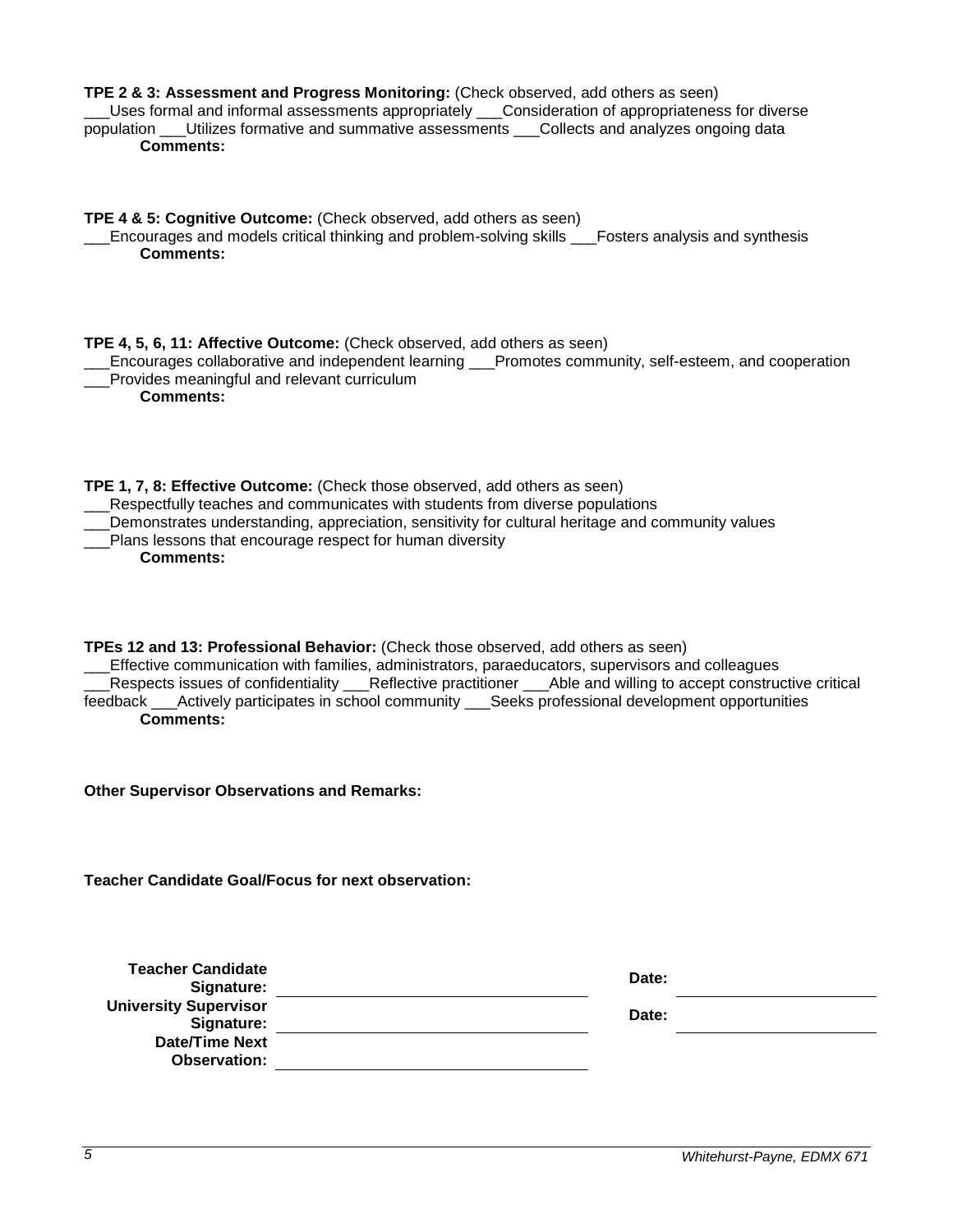| TPE 2 & 3: Assessment and Progress Monitoring: (Check observed, add others as seen)<br>Uses formal and informal assessments appropriately ___Consideration of appropriateness for diverse<br>population ___Utilizes formative and summative assessments ___Collects and analyzes ongoing data<br><b>Comments:</b>                                                                                                                       |       |
|-----------------------------------------------------------------------------------------------------------------------------------------------------------------------------------------------------------------------------------------------------------------------------------------------------------------------------------------------------------------------------------------------------------------------------------------|-------|
| TPE 4 & 5: Cognitive Outcome: (Check observed, add others as seen)<br>Encourages and models critical thinking and problem-solving skills ___Fosters analysis and synthesis<br><b>Comments:</b>                                                                                                                                                                                                                                          |       |
| TPE 4, 5, 6, 11: Affective Outcome: (Check observed, add others as seen)<br>Encourages collaborative and independent learning ___Promotes community, self-esteem, and cooperation<br>_Provides meaningful and relevant curriculum<br><b>Comments:</b>                                                                                                                                                                                   |       |
| TPE 1, 7, 8: Effective Outcome: (Check those observed, add others as seen)<br>__Respectfully teaches and communicates with students from diverse populations<br>Demonstrates understanding, appreciation, sensitivity for cultural heritage and community values<br>Plans lessons that encourage respect for human diversity<br><b>Comments:</b>                                                                                        |       |
| TPEs 12 and 13: Professional Behavior: (Check those observed, add others as seen)<br>Effective communication with families, administrators, paraeducators, supervisors and colleagues<br>Respects issues of confidentiality ___Reflective practitioner ___Able and willing to accept constructive critical<br>feedback ___Actively participates in school community ___Seeks professional development opportunities<br><b>Comments:</b> |       |
| <b>Other Supervisor Observations and Remarks:</b>                                                                                                                                                                                                                                                                                                                                                                                       |       |
| <b>Teacher Candidate Goal/Focus for next observation:</b>                                                                                                                                                                                                                                                                                                                                                                               |       |
| <b>Teacher Candidate</b><br>Signature:                                                                                                                                                                                                                                                                                                                                                                                                  | Date: |
| <b>University Supervisor</b><br>Signature:                                                                                                                                                                                                                                                                                                                                                                                              | Date: |
| <u>and the state of the state of the state of the state of the state of the state of the state of the state of th</u><br><b>Date/Time Next</b><br><b>Observation:</b>                                                                                                                                                                                                                                                                   |       |
|                                                                                                                                                                                                                                                                                                                                                                                                                                         |       |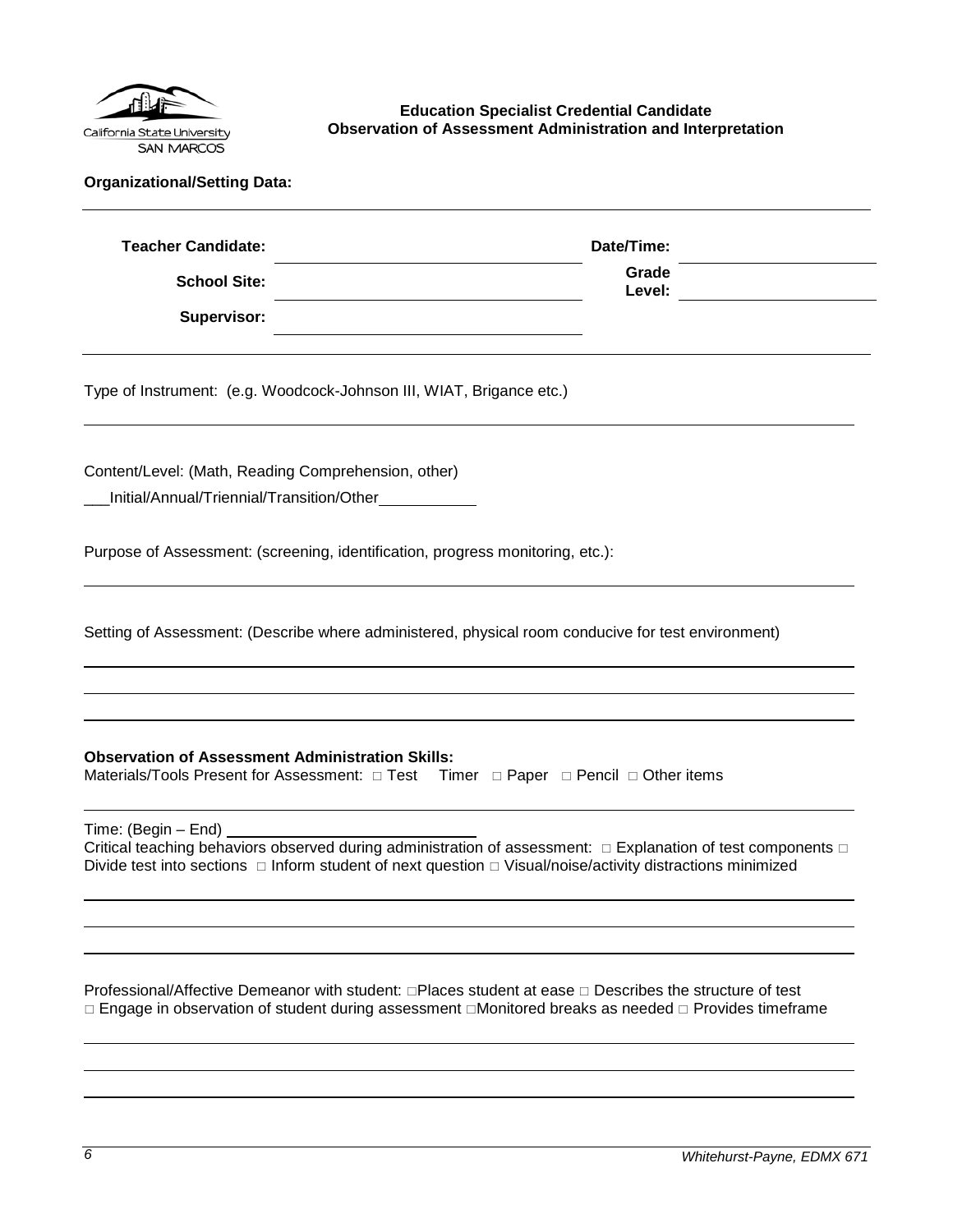

<span id="page-5-0"></span>**Education Specialist Credential Candidate Observation of Assessment Administration and Interpretation**

| <b>Teacher Candidate:</b> | Date/Time:      |  |
|---------------------------|-----------------|--|
| <b>School Site:</b>       | Grade<br>Level: |  |
| Supervisor:               |                 |  |

Type of Instrument: (e.g. Woodcock-Johnson III, WIAT, Brigance etc.)

Content/Level: (Math, Reading Comprehension, other)

\_\_\_Initial/Annual/Triennial/Transition/Other

Purpose of Assessment: (screening, identification, progress monitoring, etc.):

Setting of Assessment: (Describe where administered, physical room conducive for test environment)

### **Observation of Assessment Administration Skills:**

Materials/Tools Present for Assessment:  $\Box$  Test Timer  $\Box$  Paper  $\Box$  Pencil  $\Box$  Other items

Time: (Begin – End)

Critical teaching behaviors observed during administration of assessment:  $\Box$  Explanation of test components  $\Box$ Divide test into sections  $\Box$  Inform student of next question  $\Box$  Visual/noise/activity distractions minimized

Professional/Affective Demeanor with student:  $\Box$ Places student at ease  $\Box$  Describes the structure of test  $\Box$  Engage in observation of student during assessment  $\Box$ Monitored breaks as needed  $\Box$  Provides timeframe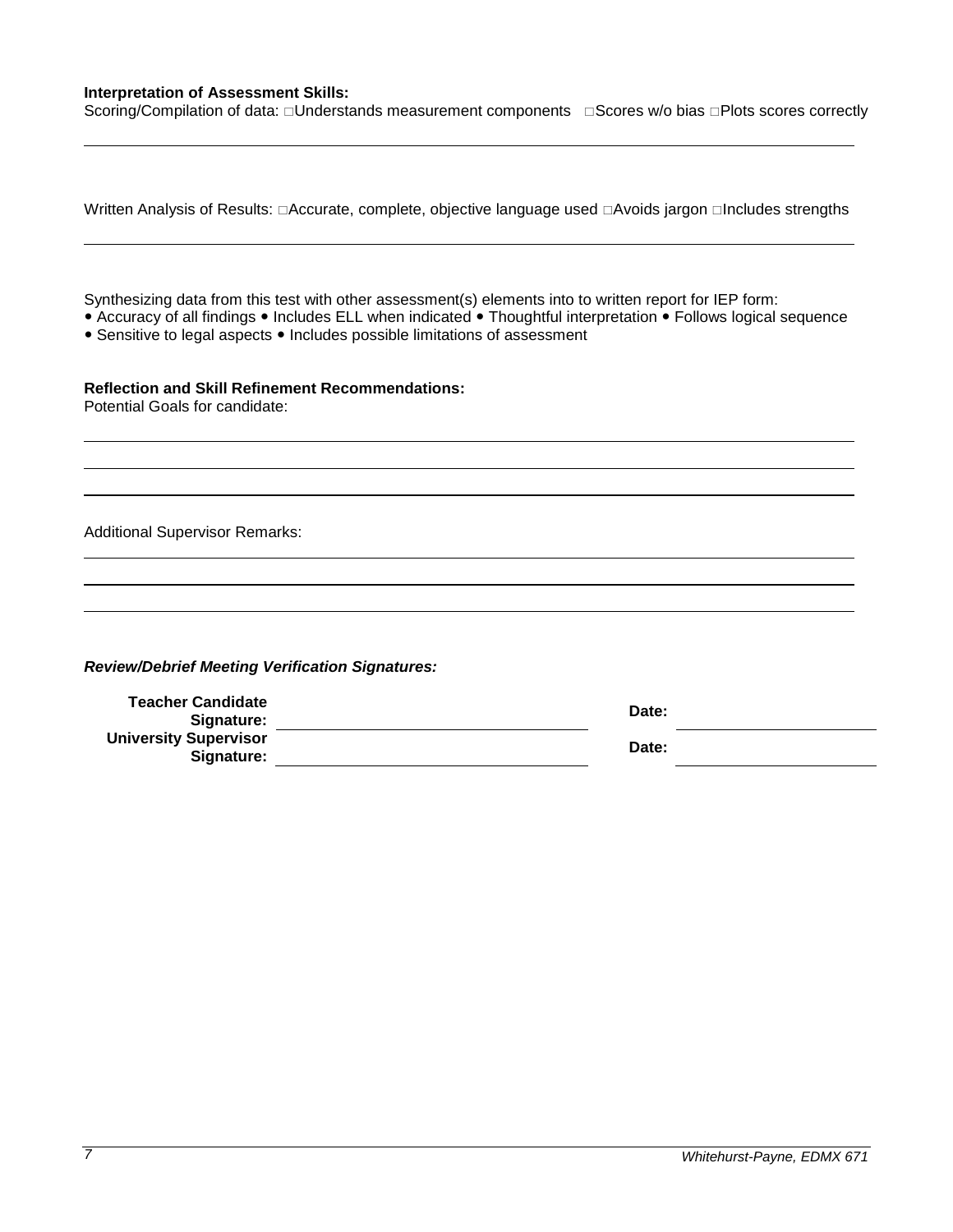### **Interpretation of Assessment Skills:**

Scoring/Compilation of data: Understands measurement components Gores w/o bias DPlots scores correctly

|                                                                                                                                                                                       | Written Analysis of Results: □Accurate, complete, objective language used □Avoids jargon □Includes strengths    |
|---------------------------------------------------------------------------------------------------------------------------------------------------------------------------------------|-----------------------------------------------------------------------------------------------------------------|
| Synthesizing data from this test with other assessment(s) elements into to written report for IEP form:<br>• Sensitive to legal aspects • Includes possible limitations of assessment | • Accuracy of all findings • Includes ELL when indicated • Thoughtful interpretation • Follows logical sequence |
| <b>Reflection and Skill Refinement Recommendations:</b><br>Potential Goals for candidate:                                                                                             |                                                                                                                 |
| <b>Additional Supervisor Remarks:</b>                                                                                                                                                 |                                                                                                                 |
| <b>Review/Debrief Meeting Verification Signatures:</b><br><b>Teacher Candidate</b><br>Signature:<br><b>University Supervisor</b>                                                      | Date:                                                                                                           |
| Signature:                                                                                                                                                                            | Date:                                                                                                           |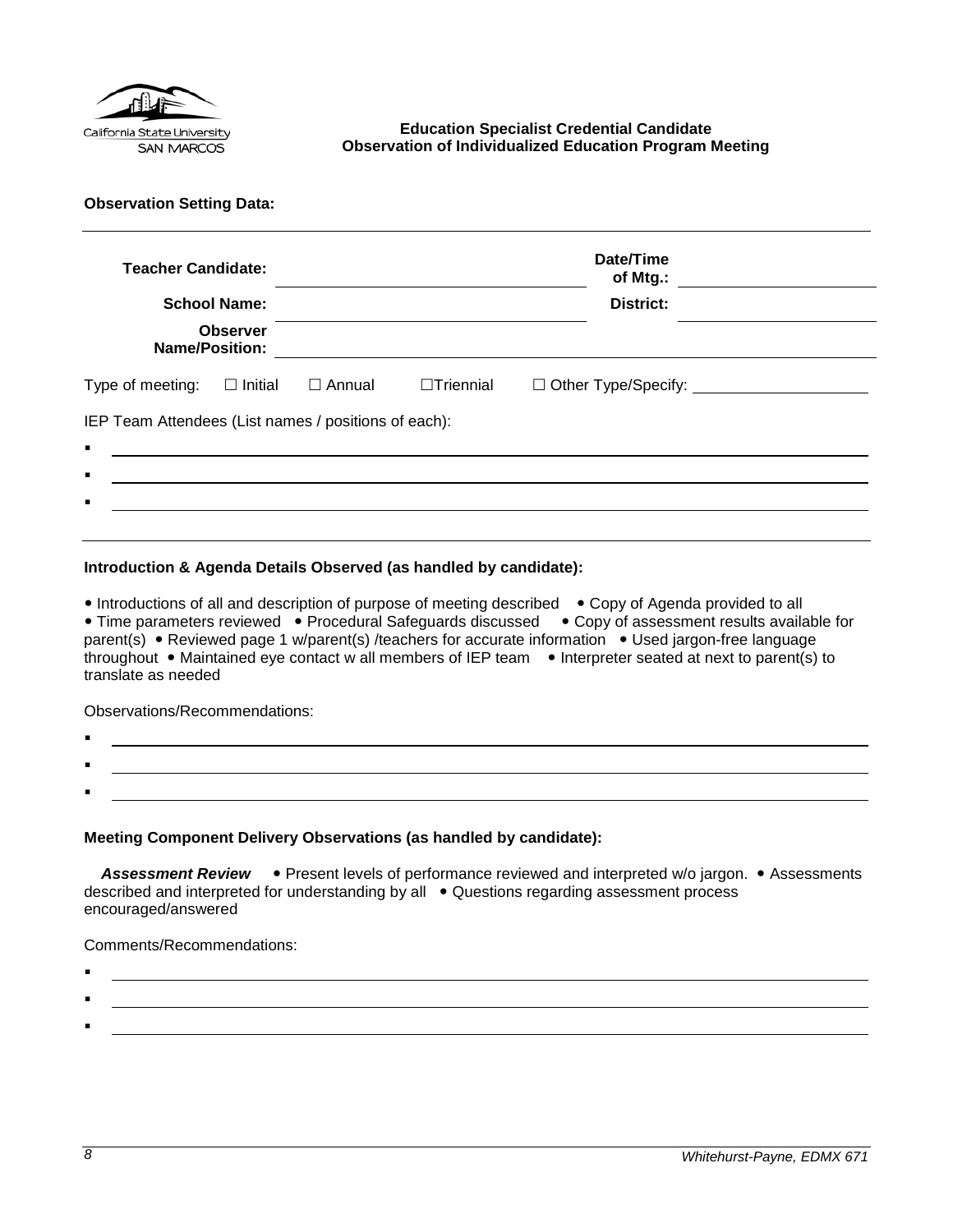

### <span id="page-7-0"></span>**Education Specialist Credential Candidate Observation of Individualized Education Program Meeting**

**Observation Setting Data:** 

| <b>Teacher Candidate:</b><br><b>Name/Position:</b>                     | <b>School Name:</b><br><b>Observer</b> |                                                                                                                      |                  | Date/Time<br>of Mtg.:<br>District: |
|------------------------------------------------------------------------|----------------------------------------|----------------------------------------------------------------------------------------------------------------------|------------------|------------------------------------|
| Type of meeting:                                                       | $\square$ Initial                      | $\Box$ Annual                                                                                                        | $\Box$ Triennial |                                    |
| IEP Team Attendees (List names / positions of each):<br>$\blacksquare$ |                                        | <u> 1980 - Jan Samuel Barbara, martin din shekara ta 1980 - An tsara tsara tsara tsara tsara tsara tsara tsara t</u> |                  |                                    |
| п                                                                      |                                        |                                                                                                                      |                  |                                    |
| п                                                                      |                                        |                                                                                                                      |                  |                                    |
|                                                                        |                                        |                                                                                                                      |                  |                                    |

### **Introduction & Agenda Details Observed (as handled by candidate):**

• Introductions of all and description of purpose of meeting described • Copy of Agenda provided to all • Time parameters reviewed • Procedural Safeguards discussed • Copy of assessment results available for parent(s) • Reviewed page 1 w/parent(s) /teachers for accurate information • Used jargon-free language throughout • Maintained eye contact w all members of IEP team • Interpreter seated at next to parent(s) to translate as needed

Observations/Recommendations:

- . .
- **Meeting Component Delivery Observations (as handled by candidate):**

Assessment Review . Present levels of performance reviewed and interpreted w/o jargon. • Assessments described and interpreted for understanding by all • Questions regarding assessment process encouraged/answered

Comments/Recommendations:

- :
- .

.

: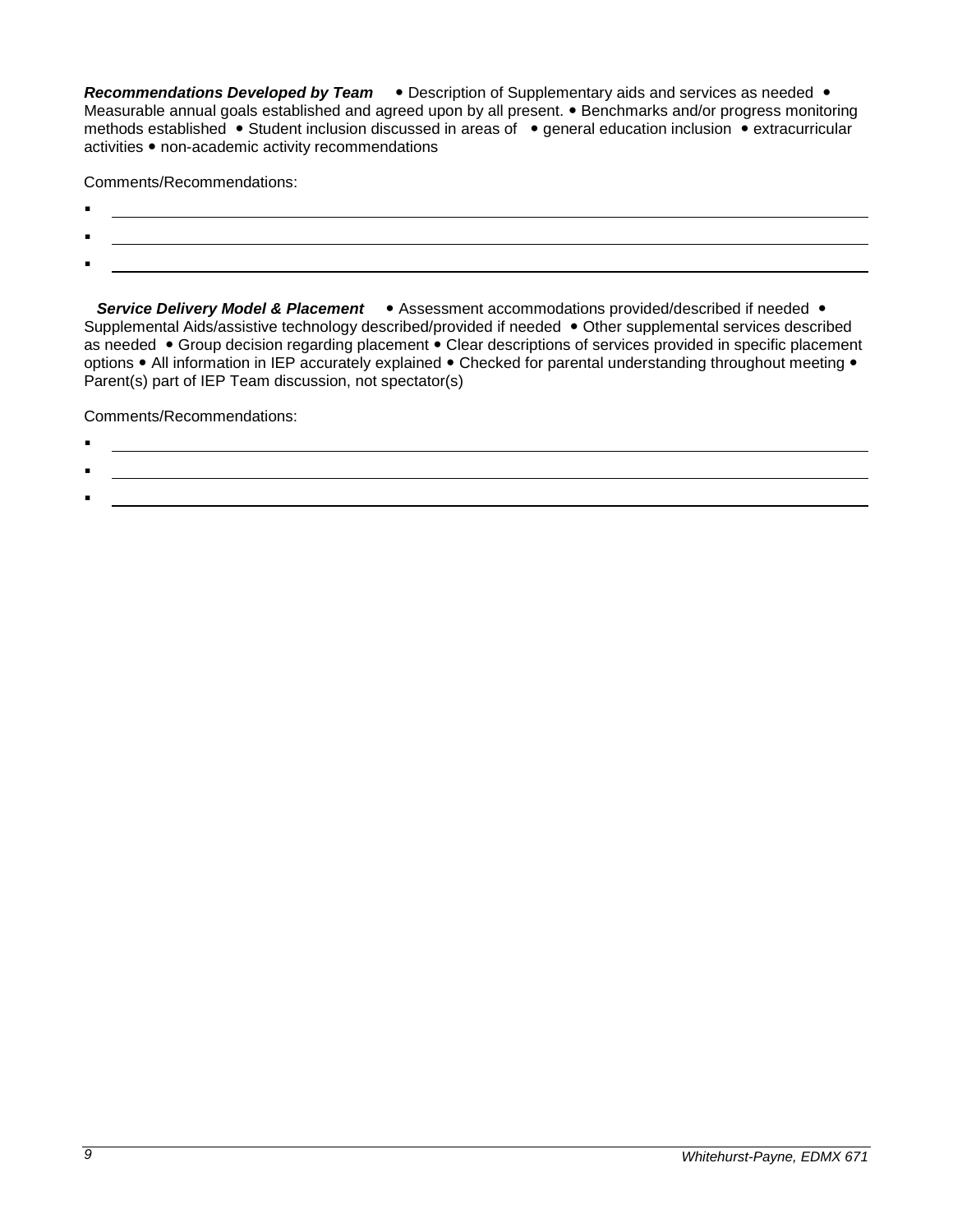**Recommendations Developed by Team •** Description of Supplementary aids and services as needed • Measurable annual goals established and agreed upon by all present. • Benchmarks and/or progress monitoring methods established • Student inclusion discussed in areas of • general education inclusion • extracurricular activities • non-academic activity recommendations

Comments/Recommendations:

- $\blacksquare$
- $\blacksquare$
- :

**Service Delivery Model & Placement •** Assessment accommodations provided/described if needed • Supplemental Aids/assistive technology described/provided if needed • Other supplemental services described as needed • Group decision regarding placement • Clear descriptions of services provided in specific placement options • All information in IEP accurately explained • Checked for parental understanding throughout meeting • Parent(s) part of IEP Team discussion, not spectator(s)

Comments/Recommendations:

.

:

# .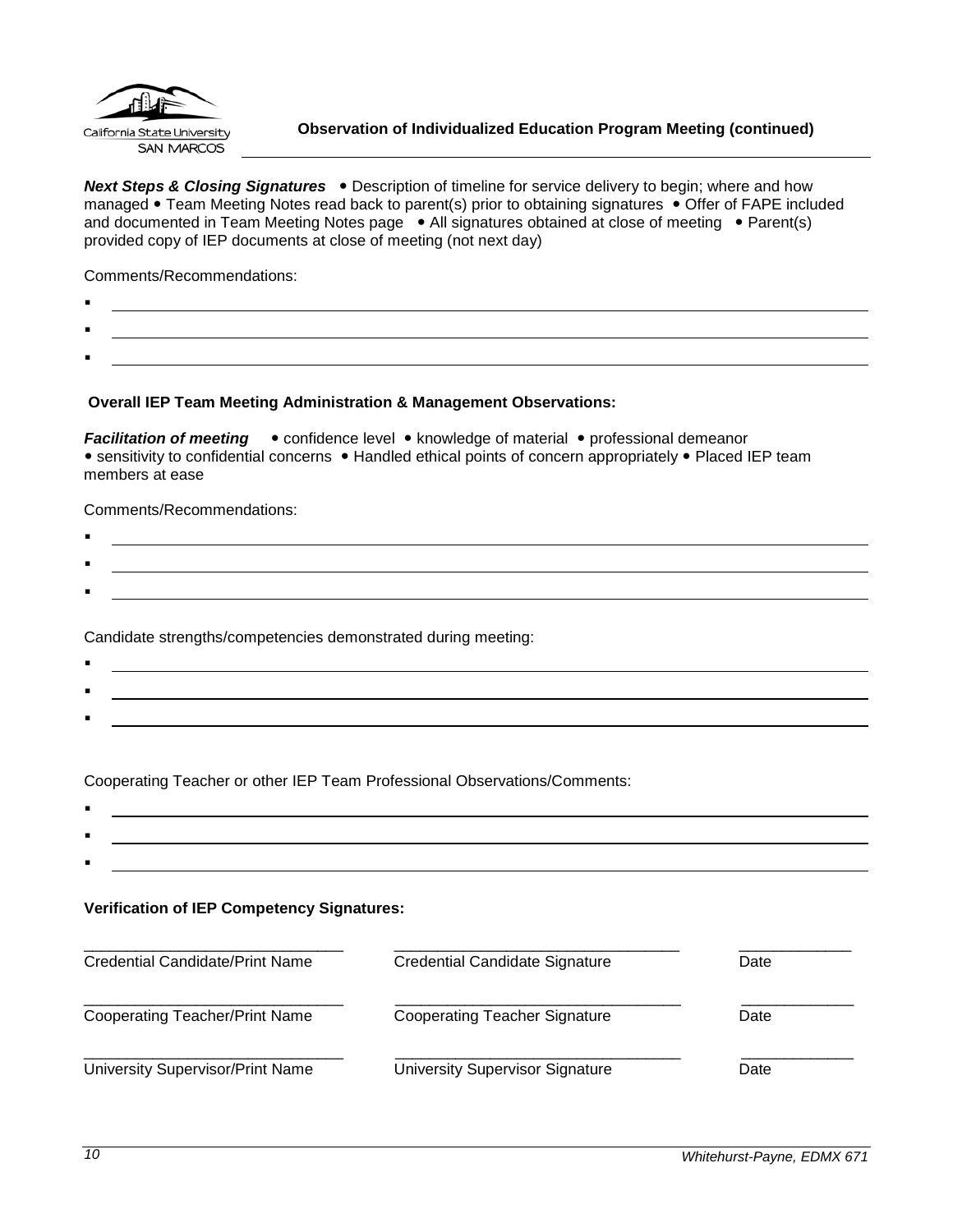

<span id="page-9-0"></span>**Next Steps & Closing Signatures** . Description of timeline for service delivery to begin; where and how managed • Team Meeting Notes read back to parent(s) prior to obtaining signatures • Offer of FAPE included and documented in Team Meeting Notes page . All signatures obtained at close of meeting . Parent(s) provided copy of IEP documents at close of meeting (not next day)

Comments/Recommendations:

- $\blacksquare$
- .
- :

### **Overall IEP Team Meeting Administration & Management Observations:**

*Facilitation of meeting* • confidence level • knowledge of material • professional demeanor • sensitivity to confidential concerns • Handled ethical points of concern appropriately • Placed IEP team members at ease

Comments/Recommendations:

 $\blacksquare$ : .

Candidate strengths/competencies demonstrated during meeting:

 $\blacksquare$ : <u> 1989 - Johann Stoff, Amerikaansk politiker († 1908)</u> :

Cooperating Teacher or other IEP Team Professional Observations/Comments:

. :

### **Verification of IEP Competency Signatures:**

| <b>Credential Candidate/Print Name</b> | Credential Candidate Signature       | Date |
|----------------------------------------|--------------------------------------|------|
| <b>Cooperating Teacher/Print Name</b>  | <b>Cooperating Teacher Signature</b> | Date |
| University Supervisor/Print Name       | University Supervisor Signature      | Date |

: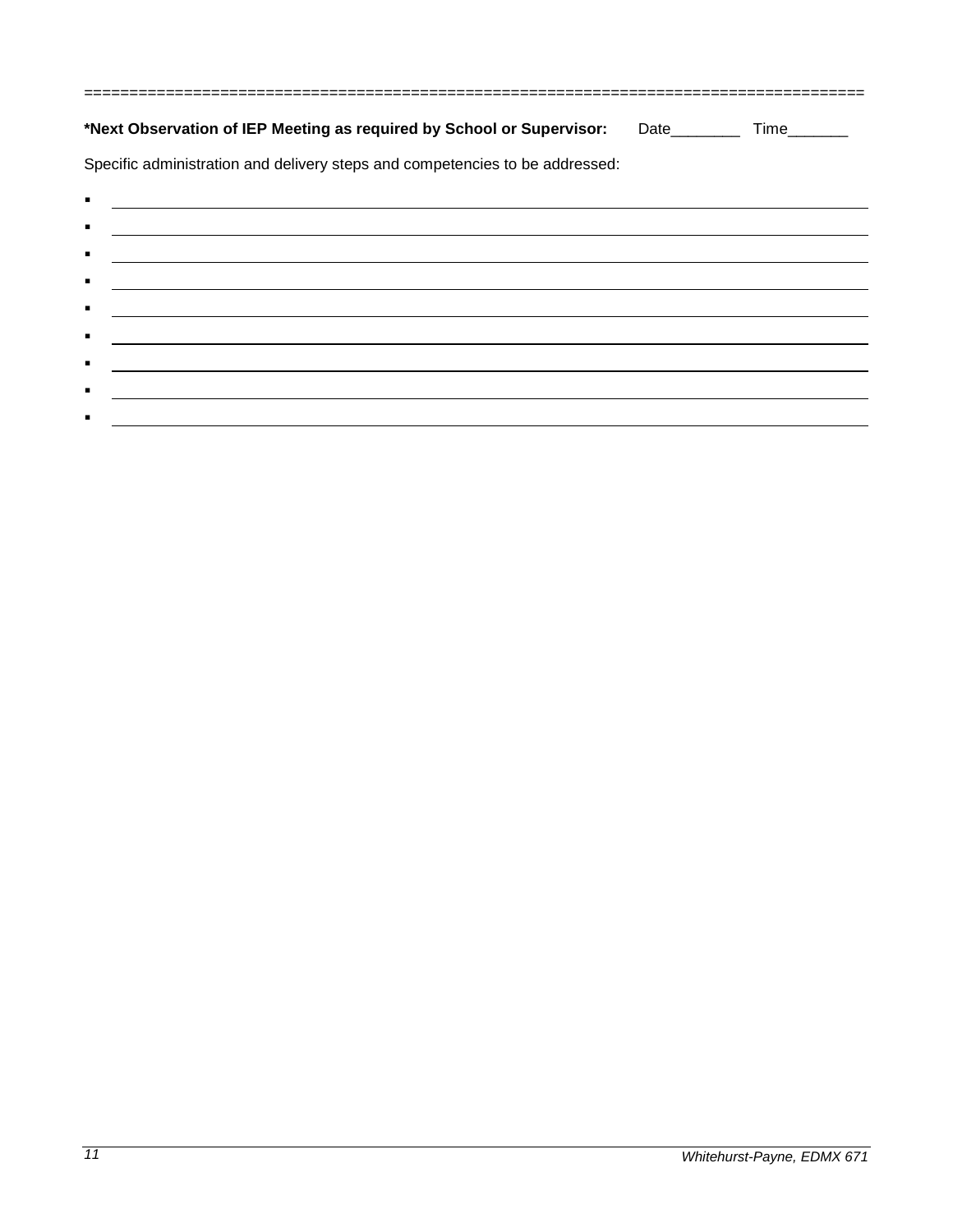| *Next Observation of IEP Meeting as required by School or Supervisor: Date_________ Time_______                                        |  |
|----------------------------------------------------------------------------------------------------------------------------------------|--|
| Specific administration and delivery steps and competencies to be addressed:                                                           |  |
| ٠                                                                                                                                      |  |
| $\blacksquare$<br><u> 1989 - Andrea Santa Alemania, amerikana amerikana amerikana amerikana amerikana amerikana amerikana amerikan</u> |  |
| $\blacksquare$<br>and the control of the control of the control of the control of the control of the control of the control of the     |  |
| $\blacksquare$                                                                                                                         |  |
| ٠<br><u> Alexandria de la contrada de la contrada de la contrada de la contrada de la contrada de la contrada de la c</u>              |  |
| <u> 1980 - Johann Barbara, martxa amerikan personal (h. 1980).</u><br>п                                                                |  |
| $\blacksquare$                                                                                                                         |  |
| п                                                                                                                                      |  |

 $\blacksquare$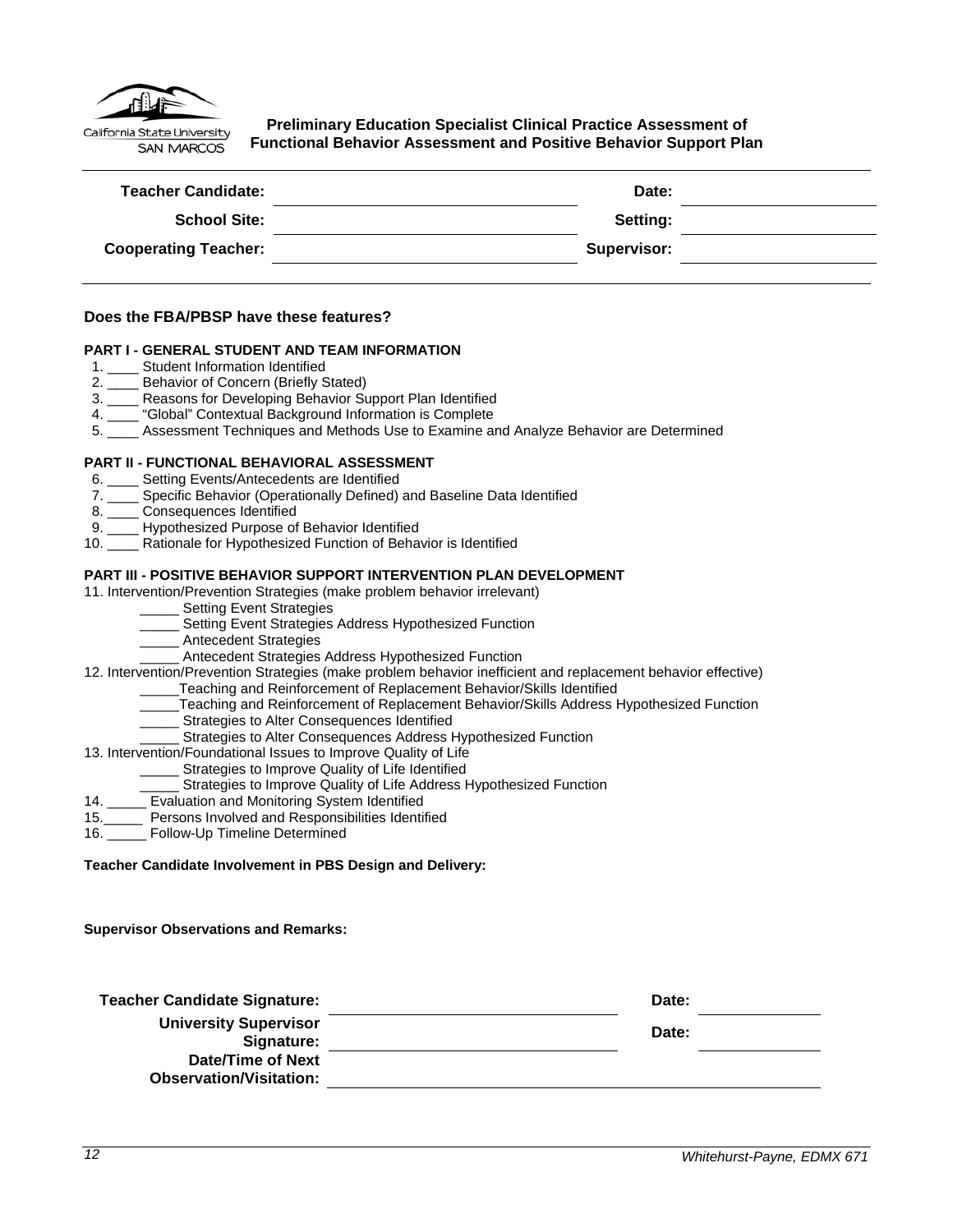

<span id="page-11-0"></span>**Preliminary Education Specialist Clinical Practice Assessment of Functional Behavior Assessment and Positive Behavior Support Plan**

| <b>Teacher Candidate:</b>   | Date:              |  |
|-----------------------------|--------------------|--|
| <b>School Site:</b>         | Setting:           |  |
| <b>Cooperating Teacher:</b> | <b>Supervisor:</b> |  |
|                             |                    |  |

#### **Does the FBA/PBSP have these features?**

#### **PART I - GENERAL STUDENT AND TEAM INFORMATION**

- 1. Student Information Identified
- 2. \_\_\_\_ Behavior of Concern (Briefly Stated)
- 3. \_\_\_\_ Reasons for Developing Behavior Support Plan Identified
- 4. \_\_\_\_ "Global" Contextual Background Information is Complete
- 5. \_\_\_\_ Assessment Techniques and Methods Use to Examine and Analyze Behavior are Determined

#### **PART II - FUNCTIONAL BEHAVIORAL ASSESSMENT**

- 6. \_\_\_\_ Setting Events/Antecedents are Identified
- 7. \_\_\_\_ Specific Behavior (Operationally Defined) and Baseline Data Identified
- 8. \_\_\_\_ Consequences Identified
- 9. \_\_\_\_ Hypothesized Purpose of Behavior Identified
- 10. \_\_\_\_ Rationale for Hypothesized Function of Behavior is Identified

#### **PART III - POSITIVE BEHAVIOR SUPPORT INTERVENTION PLAN DEVELOPMENT**

#### 11. Intervention/Prevention Strategies (make problem behavior irrelevant)

- Setting Event Strategies
- \_\_\_\_\_ Setting Event Strategies Address Hypothesized Function
- \_\_\_\_\_ Antecedent Strategies
- \_\_\_\_\_ Antecedent Strategies Address Hypothesized Function
- 12. Intervention/Prevention Strategies (make problem behavior inefficient and replacement behavior effective)
	- Teaching and Reinforcement of Replacement Behavior/Skills Identified
	- \_\_\_\_\_Teaching and Reinforcement of Replacement Behavior/Skills Address Hypothesized Function
	- \_\_\_\_\_ Strategies to Alter Consequences Identified
	- Strategies to Alter Consequences Address Hypothesized Function

#### 13. Intervention/Foundational Issues to Improve Quality of Life

- Strategies to Improve Quality of Life Identified
- Strategies to Improve Quality of Life Address Hypothesized Function
- 14. \_\_\_\_\_ Evaluation and Monitoring System Identified
- 15.\_\_\_\_\_ Persons Involved and Responsibilities Identified
- 16. Follow-Up Timeline Determined

**Teacher Candidate Involvement in PBS Design and Delivery:**

**Supervisor Observations and Remarks:**

| <b>Teacher Candidate Signature:</b>                 | Date: |  |
|-----------------------------------------------------|-------|--|
| <b>University Supervisor</b><br>Signature:          | Date: |  |
| Date/Time of Next<br><b>Observation/Visitation:</b> |       |  |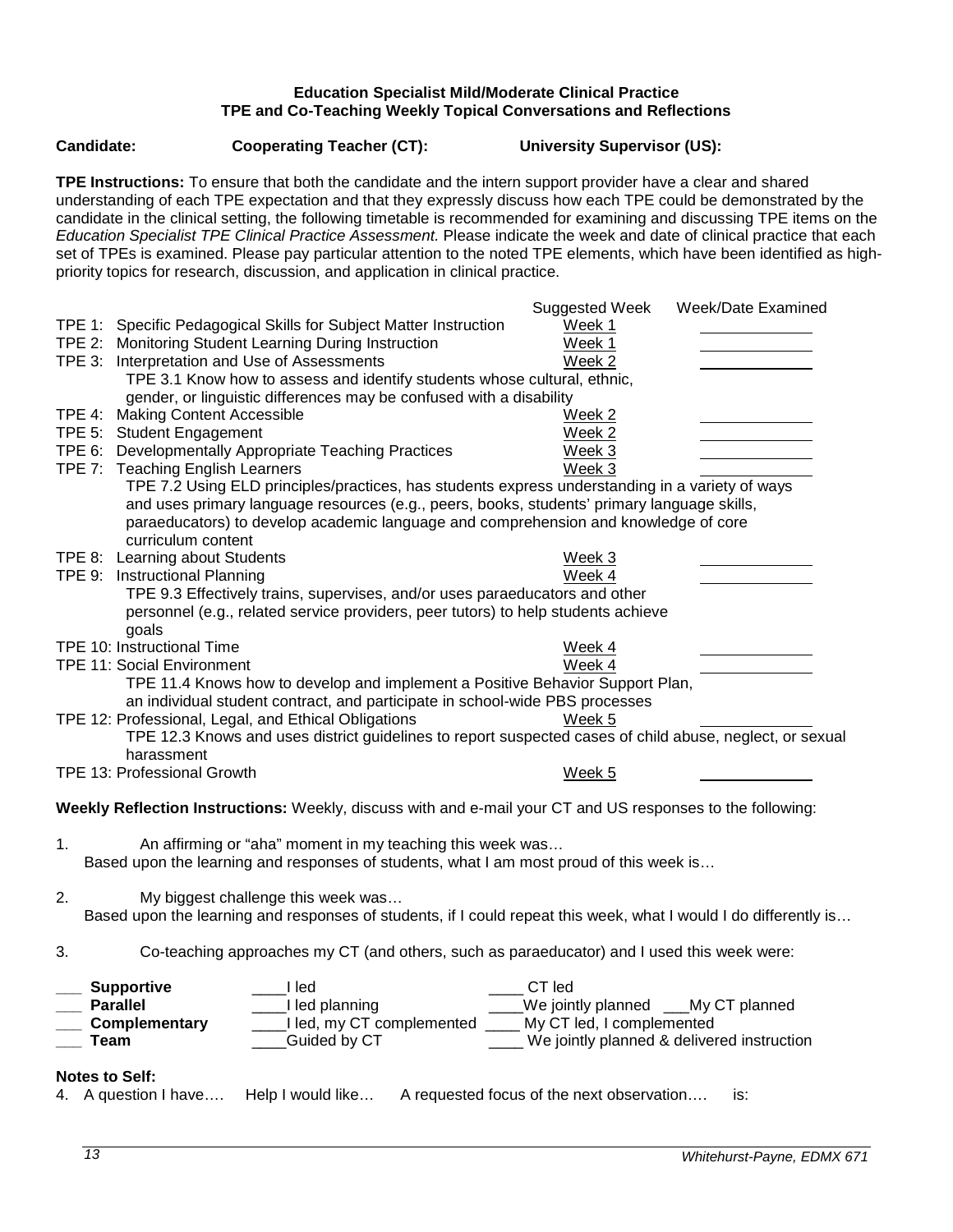### **Education Specialist Mild/Moderate Clinical Practice TPE and Co-Teaching Weekly Topical Conversations and Reflections**

<span id="page-12-0"></span>**Candidate: Cooperating Teacher (CT): University Supervisor (US):**

**TPE Instructions:** To ensure that both the candidate and the intern support provider have a clear and shared understanding of each TPE expectation and that they expressly discuss how each TPE could be demonstrated by the candidate in the clinical setting, the following timetable is recommended for examining and discussing TPE items on the *Education Specialist TPE Clinical Practice Assessment.* Please indicate the week and date of clinical practice that each set of TPEs is examined. Please pay particular attention to the noted TPE elements, which have been identified as highpriority topics for research, discussion, and application in clinical practice.

|                                                                                                                                                                                                                                                                                                             | Week/Date Examined<br><b>Suggested Week</b>      |
|-------------------------------------------------------------------------------------------------------------------------------------------------------------------------------------------------------------------------------------------------------------------------------------------------------------|--------------------------------------------------|
| TPE 1: Specific Pedagogical Skills for Subject Matter Instruction                                                                                                                                                                                                                                           | Week 1                                           |
| TPE 2: Monitoring Student Learning During Instruction                                                                                                                                                                                                                                                       | Week 1                                           |
| TPE 3: Interpretation and Use of Assessments                                                                                                                                                                                                                                                                | Week 2                                           |
| TPE 3.1 Know how to assess and identify students whose cultural, ethnic,                                                                                                                                                                                                                                    |                                                  |
| gender, or linguistic differences may be confused with a disability                                                                                                                                                                                                                                         |                                                  |
| TPE 4: Making Content Accessible                                                                                                                                                                                                                                                                            | Week <sub>2</sub>                                |
| TPE 5: Student Engagement                                                                                                                                                                                                                                                                                   | Week 2                                           |
| TPE 6: Developmentally Appropriate Teaching Practices                                                                                                                                                                                                                                                       | Week 3                                           |
| TPE 7: Teaching English Learners                                                                                                                                                                                                                                                                            | Week 3                                           |
| TPE 7.2 Using ELD principles/practices, has students express understanding in a variety of ways<br>and uses primary language resources (e.g., peers, books, students' primary language skills,<br>paraeducators) to develop academic language and comprehension and knowledge of core<br>curriculum content |                                                  |
| TPE 8: Learning about Students                                                                                                                                                                                                                                                                              | Week 3                                           |
| TPE 9: Instructional Planning                                                                                                                                                                                                                                                                               | Week 4                                           |
| TPE 9.3 Effectively trains, supervises, and/or uses paraeducators and other<br>personnel (e.g., related service providers, peer tutors) to help students achieve                                                                                                                                            |                                                  |
| goals                                                                                                                                                                                                                                                                                                       |                                                  |
| TPE 10: Instructional Time                                                                                                                                                                                                                                                                                  | Week 4                                           |
| <b>TPE 11: Social Environment</b>                                                                                                                                                                                                                                                                           | Week 4                                           |
| TPE 11.4 Knows how to develop and implement a Positive Behavior Support Plan,<br>an individual student contract, and participate in school-wide PBS processes                                                                                                                                               |                                                  |
| TPE 12: Professional, Legal, and Ethical Obligations                                                                                                                                                                                                                                                        | Week 5                                           |
| TPE 12.3 Knows and uses district guidelines to report suspected cases of child abuse, neglect, or sexual                                                                                                                                                                                                    |                                                  |
| harassment                                                                                                                                                                                                                                                                                                  |                                                  |
| <b>TPE 13: Professional Growth</b>                                                                                                                                                                                                                                                                          | Week 5                                           |
|                                                                                                                                                                                                                                                                                                             |                                                  |
| Weekly Reflection Instructions: Weekly, discuss with and e-mail your CT and US responses to the following:                                                                                                                                                                                                  |                                                  |
|                                                                                                                                                                                                                                                                                                             |                                                  |
| 1.<br>An affirming or "aha" moment in my teaching this week was                                                                                                                                                                                                                                             |                                                  |
| Based upon the learning and responses of students, what I am most proud of this week is                                                                                                                                                                                                                     |                                                  |
|                                                                                                                                                                                                                                                                                                             |                                                  |
| 2.<br>My biggest challenge this week was                                                                                                                                                                                                                                                                    |                                                  |
| Based upon the learning and responses of students, if I could repeat this week, what I would I do differently is                                                                                                                                                                                            |                                                  |
| Co-teaching approaches my CT (and others, such as paraeducator) and I used this week were:<br>3.                                                                                                                                                                                                            |                                                  |
| <b>Supportive</b><br>l led                                                                                                                                                                                                                                                                                  | CT led                                           |
| ___I led planning<br><b>Parallel</b>                                                                                                                                                                                                                                                                        | ___We jointly planned ___My CT planned           |
| ___I led, my CT complemented ____ My CT led, I complemented<br>Complementary                                                                                                                                                                                                                                |                                                  |
| Guided by CT<br>Team                                                                                                                                                                                                                                                                                        | We jointly planned & delivered instruction       |
|                                                                                                                                                                                                                                                                                                             |                                                  |
| <b>Notes to Self:</b>                                                                                                                                                                                                                                                                                       |                                                  |
| Help I would like<br>4. A question I have                                                                                                                                                                                                                                                                   | A requested focus of the next observation<br>is: |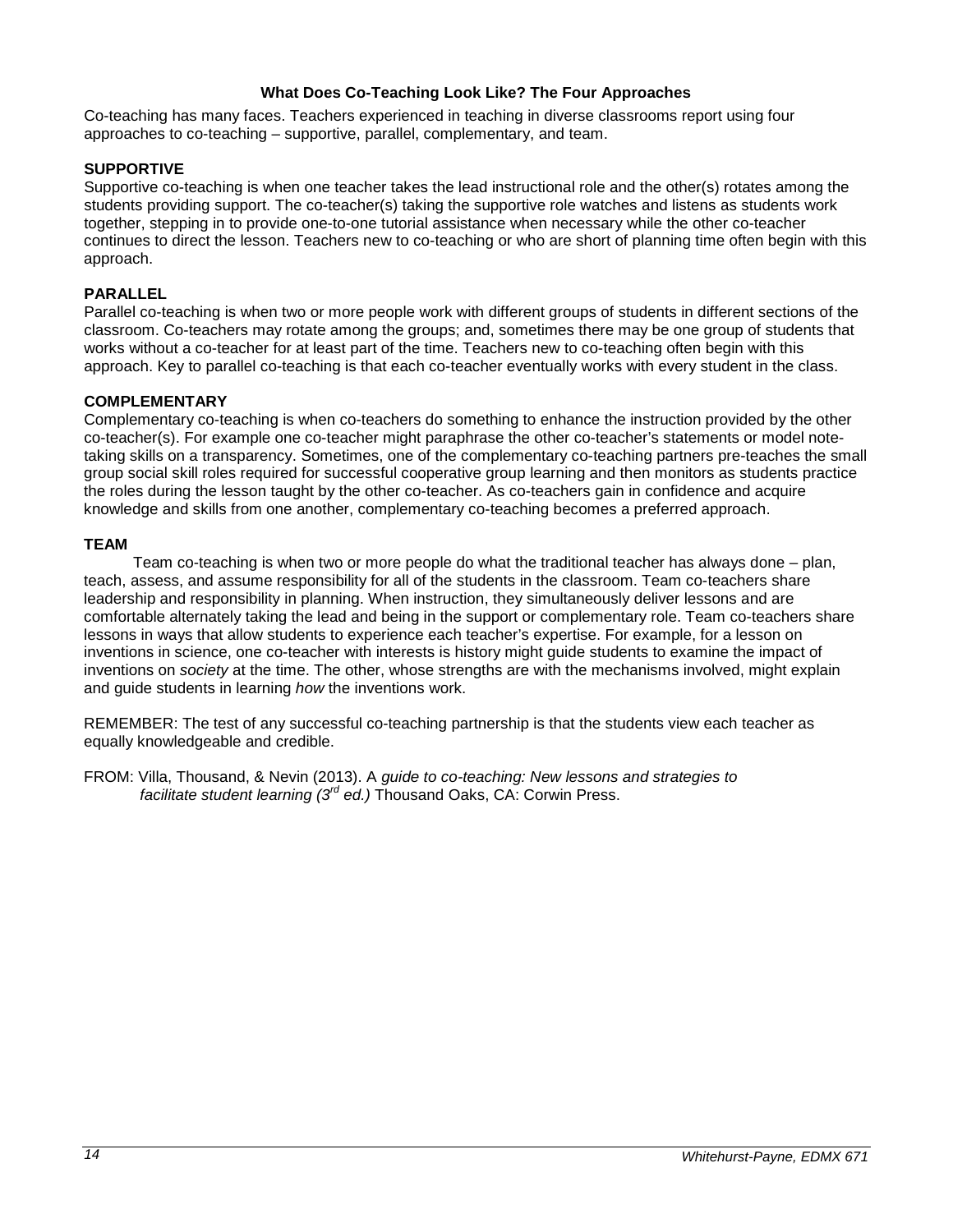### **What Does Co-Teaching Look Like? The Four Approaches**

<span id="page-13-0"></span>Co-teaching has many faces. Teachers experienced in teaching in diverse classrooms report using four approaches to co-teaching – supportive, parallel, complementary, and team.

### **SUPPORTIVE**

Supportive co-teaching is when one teacher takes the lead instructional role and the other(s) rotates among the students providing support. The co-teacher(s) taking the supportive role watches and listens as students work together, stepping in to provide one-to-one tutorial assistance when necessary while the other co-teacher continues to direct the lesson. Teachers new to co-teaching or who are short of planning time often begin with this approach.

### **PARALLEL**

Parallel co-teaching is when two or more people work with different groups of students in different sections of the classroom. Co-teachers may rotate among the groups; and, sometimes there may be one group of students that works without a co-teacher for at least part of the time. Teachers new to co-teaching often begin with this approach. Key to parallel co-teaching is that each co-teacher eventually works with every student in the class.

### **COMPLEMENTARY**

Complementary co-teaching is when co-teachers do something to enhance the instruction provided by the other co-teacher(s). For example one co-teacher might paraphrase the other co-teacher's statements or model notetaking skills on a transparency. Sometimes, one of the complementary co-teaching partners pre-teaches the small group social skill roles required for successful cooperative group learning and then monitors as students practice the roles during the lesson taught by the other co-teacher. As co-teachers gain in confidence and acquire knowledge and skills from one another, complementary co-teaching becomes a preferred approach.

### **TEAM**

Team co-teaching is when two or more people do what the traditional teacher has always done – plan, teach, assess, and assume responsibility for all of the students in the classroom. Team co-teachers share leadership and responsibility in planning. When instruction, they simultaneously deliver lessons and are comfortable alternately taking the lead and being in the support or complementary role. Team co-teachers share lessons in ways that allow students to experience each teacher's expertise. For example, for a lesson on inventions in science, one co-teacher with interests is history might guide students to examine the impact of inventions on *society* at the time. The other, whose strengths are with the mechanisms involved, might explain and guide students in learning *how* the inventions work.

REMEMBER: The test of any successful co-teaching partnership is that the students view each teacher as equally knowledgeable and credible.

FROM: Villa, Thousand, & Nevin (2013). A *guide to co-teaching: New lessons and strategies to facilitate student learning (3rd ed.)* Thousand Oaks, CA: Corwin Press.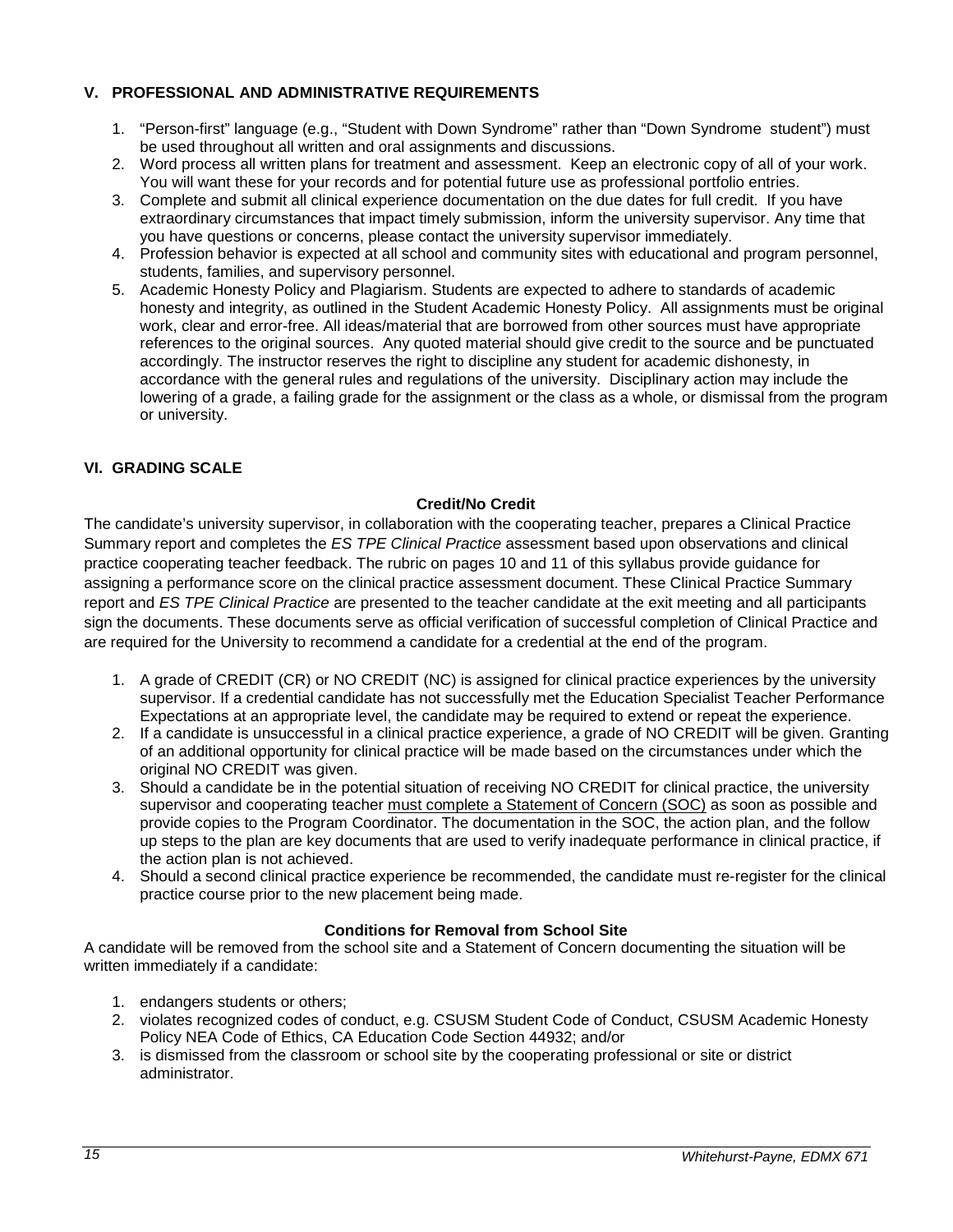## <span id="page-14-0"></span>**V. PROFESSIONAL AND ADMINISTRATIVE REQUIREMENTS**

- 1. "Person-first" language (e.g., "Student with Down Syndrome" rather than "Down Syndrome student") must be used throughout all written and oral assignments and discussions.
- 2. Word process all written plans for treatment and assessment. Keep an electronic copy of all of your work. You will want these for your records and for potential future use as professional portfolio entries.
- 3. Complete and submit all clinical experience documentation on the due dates for full credit. If you have extraordinary circumstances that impact timely submission, inform the university supervisor. Any time that you have questions or concerns, please contact the university supervisor immediately.
- 4. Profession behavior is expected at all school and community sites with educational and program personnel, students, families, and supervisory personnel.
- 5. Academic Honesty Policy and Plagiarism. Students are expected to adhere to standards of academic honesty and integrity, as outlined in the Student Academic Honesty Policy. All assignments must be original work, clear and error-free. All ideas/material that are borrowed from other sources must have appropriate references to the original sources. Any quoted material should give credit to the source and be punctuated accordingly. The instructor reserves the right to discipline any student for academic dishonesty, in accordance with the general rules and regulations of the university. Disciplinary action may include the lowering of a grade, a failing grade for the assignment or the class as a whole, or dismissal from the program or university.

# <span id="page-14-1"></span>**VI. GRADING SCALE**

### **Credit/No Credit**

<span id="page-14-2"></span>The candidate's university supervisor, in collaboration with the cooperating teacher, prepares a Clinical Practice Summary report and completes the *ES TPE Clinical Practice* assessment based upon observations and clinical practice cooperating teacher feedback. The rubric on pages 10 and 11 of this syllabus provide guidance for assigning a performance score on the clinical practice assessment document. These Clinical Practice Summary report and *ES TPE Clinical Practice* are presented to the teacher candidate at the exit meeting and all participants sign the documents. These documents serve as official verification of successful completion of Clinical Practice and are required for the University to recommend a candidate for a credential at the end of the program.

- 1. A grade of CREDIT (CR) or NO CREDIT (NC) is assigned for clinical practice experiences by the university supervisor. If a credential candidate has not successfully met the Education Specialist Teacher Performance Expectations at an appropriate level, the candidate may be required to extend or repeat the experience.
- 2. If a candidate is unsuccessful in a clinical practice experience, a grade of NO CREDIT will be given. Granting of an additional opportunity for clinical practice will be made based on the circumstances under which the original NO CREDIT was given.
- 3. Should a candidate be in the potential situation of receiving NO CREDIT for clinical practice, the university supervisor and cooperating teacher must complete a Statement of Concern (SOC) as soon as possible and provide copies to the Program Coordinator. The documentation in the SOC, the action plan, and the follow up steps to the plan are key documents that are used to verify inadequate performance in clinical practice, if the action plan is not achieved.
- 4. Should a second clinical practice experience be recommended, the candidate must re-register for the clinical practice course prior to the new placement being made.

### **Conditions for Removal from School Site**

<span id="page-14-3"></span>A candidate will be removed from the school site and a Statement of Concern documenting the situation will be written immediately if a candidate:

- 1. endangers students or others;
- 2. violates recognized codes of conduct, e.g. CSUSM Student Code of Conduct, CSUSM Academic Honesty Policy NEA Code of Ethics, CA Education Code Section 44932; and/or
- 3. is dismissed from the classroom or school site by the cooperating professional or site or district administrator.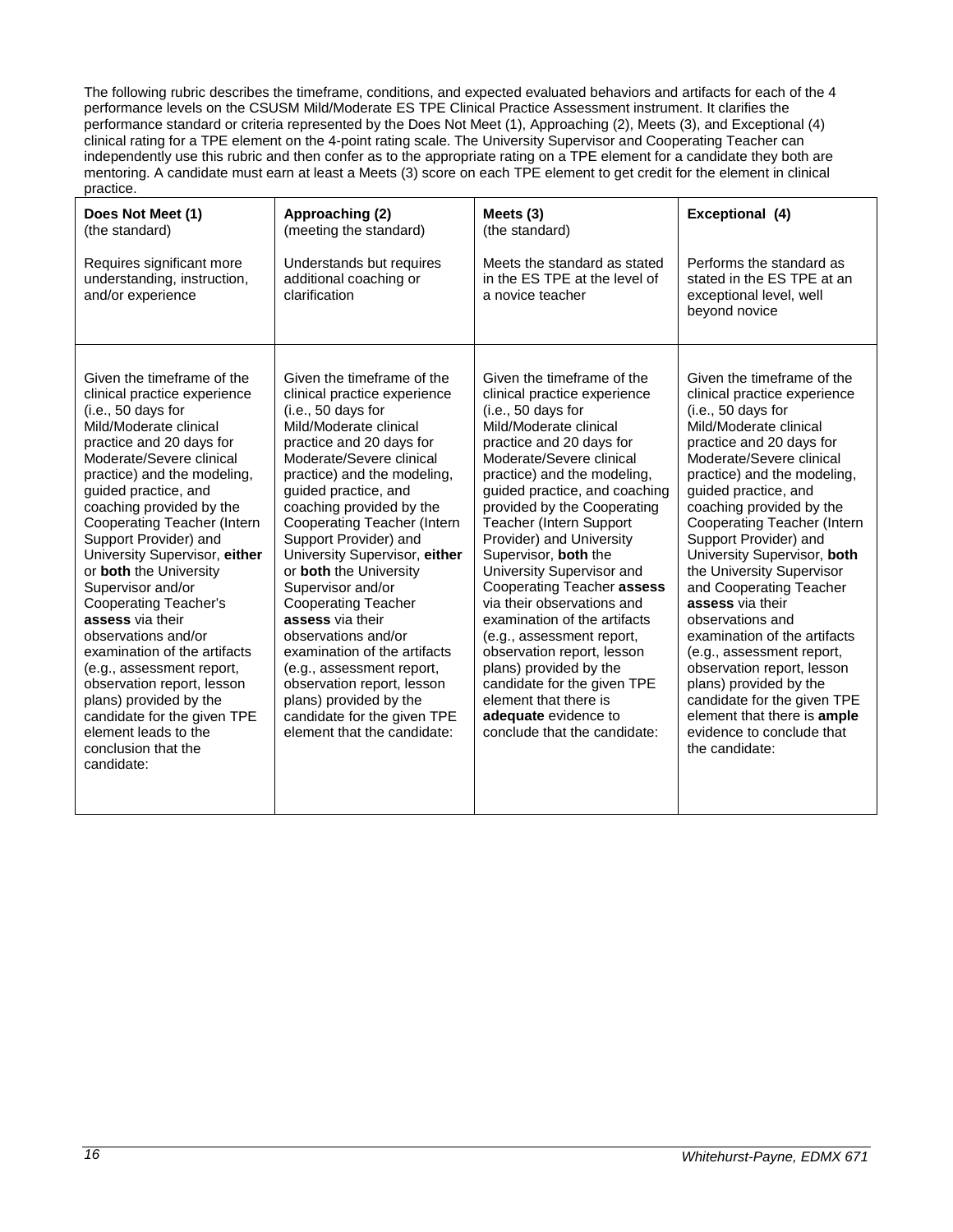The following rubric describes the timeframe, conditions, and expected evaluated behaviors and artifacts for each of the 4 performance levels on the CSUSM Mild/Moderate ES TPE Clinical Practice Assessment instrument. It clarifies the performance standard or criteria represented by the Does Not Meet (1), Approaching (2), Meets (3), and Exceptional (4) clinical rating for a TPE element on the 4-point rating scale. The University Supervisor and Cooperating Teacher can independently use this rubric and then confer as to the appropriate rating on a TPE element for a candidate they both are mentoring. A candidate must earn at least a Meets (3) score on each TPE element to get credit for the element in clinical practice.

| Does Not Meet (1)                                                                                                                                                                                                                                                                                                                                                                                                                                                                                                                                                                                                                                                                  | Approaching (2)                                                                                                                                                                                                                                                                                                                                                                                                                                                                                                                                                                                                                                           | Meets $(3)$                                                                                                                                                                                                                                                                                                                                                                                                                                                                                                                                                                                                                                                                            | Exceptional (4)                                                                                                                                                                                                                                                                                                                                                                                                                                                                                                                                                                                                                                                                       |
|------------------------------------------------------------------------------------------------------------------------------------------------------------------------------------------------------------------------------------------------------------------------------------------------------------------------------------------------------------------------------------------------------------------------------------------------------------------------------------------------------------------------------------------------------------------------------------------------------------------------------------------------------------------------------------|-----------------------------------------------------------------------------------------------------------------------------------------------------------------------------------------------------------------------------------------------------------------------------------------------------------------------------------------------------------------------------------------------------------------------------------------------------------------------------------------------------------------------------------------------------------------------------------------------------------------------------------------------------------|----------------------------------------------------------------------------------------------------------------------------------------------------------------------------------------------------------------------------------------------------------------------------------------------------------------------------------------------------------------------------------------------------------------------------------------------------------------------------------------------------------------------------------------------------------------------------------------------------------------------------------------------------------------------------------------|---------------------------------------------------------------------------------------------------------------------------------------------------------------------------------------------------------------------------------------------------------------------------------------------------------------------------------------------------------------------------------------------------------------------------------------------------------------------------------------------------------------------------------------------------------------------------------------------------------------------------------------------------------------------------------------|
| (the standard)                                                                                                                                                                                                                                                                                                                                                                                                                                                                                                                                                                                                                                                                     | (meeting the standard)                                                                                                                                                                                                                                                                                                                                                                                                                                                                                                                                                                                                                                    | (the standard)                                                                                                                                                                                                                                                                                                                                                                                                                                                                                                                                                                                                                                                                         | Performs the standard as                                                                                                                                                                                                                                                                                                                                                                                                                                                                                                                                                                                                                                                              |
| Requires significant more                                                                                                                                                                                                                                                                                                                                                                                                                                                                                                                                                                                                                                                          | Understands but requires                                                                                                                                                                                                                                                                                                                                                                                                                                                                                                                                                                                                                                  | Meets the standard as stated                                                                                                                                                                                                                                                                                                                                                                                                                                                                                                                                                                                                                                                           | stated in the ES TPE at an                                                                                                                                                                                                                                                                                                                                                                                                                                                                                                                                                                                                                                                            |
| understanding, instruction,                                                                                                                                                                                                                                                                                                                                                                                                                                                                                                                                                                                                                                                        | additional coaching or                                                                                                                                                                                                                                                                                                                                                                                                                                                                                                                                                                                                                                    | in the ES TPE at the level of                                                                                                                                                                                                                                                                                                                                                                                                                                                                                                                                                                                                                                                          | exceptional level, well                                                                                                                                                                                                                                                                                                                                                                                                                                                                                                                                                                                                                                                               |
| and/or experience                                                                                                                                                                                                                                                                                                                                                                                                                                                                                                                                                                                                                                                                  | clarification                                                                                                                                                                                                                                                                                                                                                                                                                                                                                                                                                                                                                                             | a novice teacher                                                                                                                                                                                                                                                                                                                                                                                                                                                                                                                                                                                                                                                                       | beyond novice                                                                                                                                                                                                                                                                                                                                                                                                                                                                                                                                                                                                                                                                         |
| Given the timeframe of the<br>clinical practice experience<br>(i.e., 50 days for<br>Mild/Moderate clinical<br>practice and 20 days for<br>Moderate/Severe clinical<br>practice) and the modeling,<br>quided practice, and<br>coaching provided by the<br>Cooperating Teacher (Intern<br>Support Provider) and<br>University Supervisor, either<br>or both the University<br>Supervisor and/or<br>Cooperating Teacher's<br>assess via their<br>observations and/or<br>examination of the artifacts<br>(e.g., assessment report,<br>observation report, lesson<br>plans) provided by the<br>candidate for the given TPE<br>element leads to the<br>conclusion that the<br>candidate: | Given the timeframe of the<br>clinical practice experience<br>(i.e., 50 days for<br>Mild/Moderate clinical<br>practice and 20 days for<br>Moderate/Severe clinical<br>practice) and the modeling,<br>quided practice, and<br>coaching provided by the<br>Cooperating Teacher (Intern<br>Support Provider) and<br>University Supervisor, either<br>or both the University<br>Supervisor and/or<br><b>Cooperating Teacher</b><br>assess via their<br>observations and/or<br>examination of the artifacts<br>(e.g., assessment report,<br>observation report, lesson<br>plans) provided by the<br>candidate for the given TPE<br>element that the candidate: | Given the timeframe of the<br>clinical practice experience<br>(i.e., 50 days for<br>Mild/Moderate clinical<br>practice and 20 days for<br>Moderate/Severe clinical<br>practice) and the modeling,<br>quided practice, and coaching<br>provided by the Cooperating<br><b>Teacher (Intern Support)</b><br>Provider) and University<br>Supervisor, both the<br>University Supervisor and<br>Cooperating Teacher assess<br>via their observations and<br>examination of the artifacts<br>(e.g., assessment report,<br>observation report, lesson<br>plans) provided by the<br>candidate for the given TPE<br>element that there is<br>adequate evidence to<br>conclude that the candidate: | Given the timeframe of the<br>clinical practice experience<br>(i.e., 50 days for<br>Mild/Moderate clinical<br>practice and 20 days for<br>Moderate/Severe clinical<br>practice) and the modeling,<br>quided practice, and<br>coaching provided by the<br>Cooperating Teacher (Intern<br>Support Provider) and<br>University Supervisor, both<br>the University Supervisor<br>and Cooperating Teacher<br>assess via their<br>observations and<br>examination of the artifacts<br>(e.g., assessment report,<br>observation report, lesson<br>plans) provided by the<br>candidate for the given TPE<br>element that there is <b>ample</b><br>evidence to conclude that<br>the candidate: |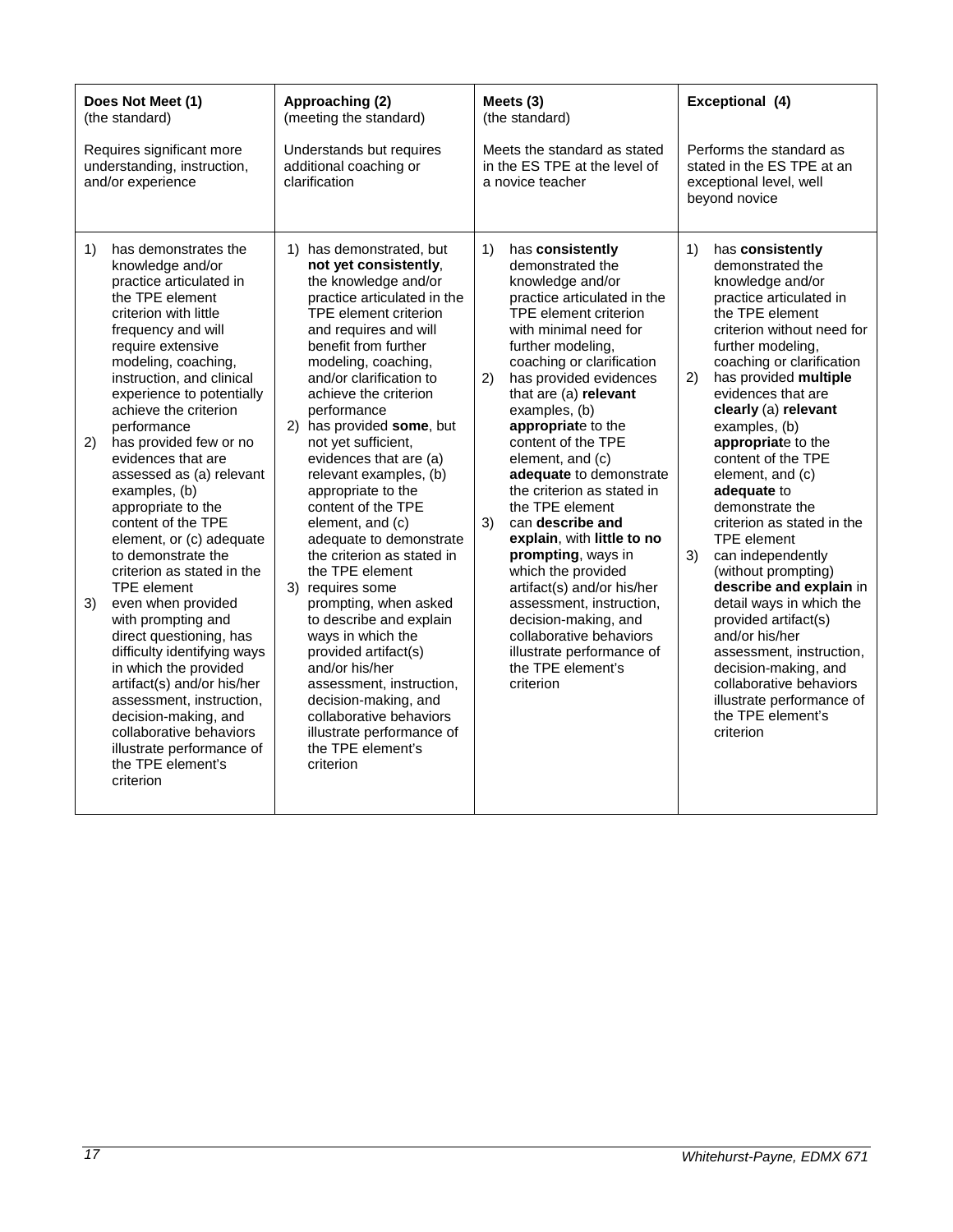| Does Not Meet (1)<br>(the standard)                                                                                                                                                                                                                                                                                                                                                                                                                                                                                                                                                                                                                                                                                                                                                                                                                             | Approaching (2)<br>(meeting the standard)                                                                                                                                                                                                                                                                                                                                                                                                                                                                                                                                                                                                                                                                                                                                                                             | Meets (3)<br>(the standard)                                                                                                                                                                                                                                                                                                                                                                                                                                                                                                                                                                                                                                                                             | Exceptional (4)                                                                                                                                                                                                                                                                                                                                                                                                                                                                                                                                                                                                                                                                                                                                   |
|-----------------------------------------------------------------------------------------------------------------------------------------------------------------------------------------------------------------------------------------------------------------------------------------------------------------------------------------------------------------------------------------------------------------------------------------------------------------------------------------------------------------------------------------------------------------------------------------------------------------------------------------------------------------------------------------------------------------------------------------------------------------------------------------------------------------------------------------------------------------|-----------------------------------------------------------------------------------------------------------------------------------------------------------------------------------------------------------------------------------------------------------------------------------------------------------------------------------------------------------------------------------------------------------------------------------------------------------------------------------------------------------------------------------------------------------------------------------------------------------------------------------------------------------------------------------------------------------------------------------------------------------------------------------------------------------------------|---------------------------------------------------------------------------------------------------------------------------------------------------------------------------------------------------------------------------------------------------------------------------------------------------------------------------------------------------------------------------------------------------------------------------------------------------------------------------------------------------------------------------------------------------------------------------------------------------------------------------------------------------------------------------------------------------------|---------------------------------------------------------------------------------------------------------------------------------------------------------------------------------------------------------------------------------------------------------------------------------------------------------------------------------------------------------------------------------------------------------------------------------------------------------------------------------------------------------------------------------------------------------------------------------------------------------------------------------------------------------------------------------------------------------------------------------------------------|
| Requires significant more<br>understanding, instruction,<br>and/or experience                                                                                                                                                                                                                                                                                                                                                                                                                                                                                                                                                                                                                                                                                                                                                                                   | Understands but requires<br>additional coaching or<br>clarification                                                                                                                                                                                                                                                                                                                                                                                                                                                                                                                                                                                                                                                                                                                                                   | Meets the standard as stated<br>in the ES TPE at the level of<br>a novice teacher                                                                                                                                                                                                                                                                                                                                                                                                                                                                                                                                                                                                                       | Performs the standard as<br>stated in the ES TPE at an<br>exceptional level, well<br>beyond novice                                                                                                                                                                                                                                                                                                                                                                                                                                                                                                                                                                                                                                                |
| 1)<br>has demonstrates the<br>knowledge and/or<br>practice articulated in<br>the TPE element<br>criterion with little<br>frequency and will<br>require extensive<br>modeling, coaching,<br>instruction, and clinical<br>experience to potentially<br>achieve the criterion<br>performance<br>has provided few or no<br>2)<br>evidences that are<br>assessed as (a) relevant<br>examples, (b)<br>appropriate to the<br>content of the TPE<br>element, or (c) adequate<br>to demonstrate the<br>criterion as stated in the<br><b>TPE</b> element<br>3)<br>even when provided<br>with prompting and<br>direct questioning, has<br>difficulty identifying ways<br>in which the provided<br>artifact(s) and/or his/her<br>assessment, instruction,<br>decision-making, and<br>collaborative behaviors<br>illustrate performance of<br>the TPE element's<br>criterion | 1) has demonstrated, but<br>not yet consistently,<br>the knowledge and/or<br>practice articulated in the<br>TPE element criterion<br>and requires and will<br>benefit from further<br>modeling, coaching,<br>and/or clarification to<br>achieve the criterion<br>performance<br>2) has provided some, but<br>not yet sufficient,<br>evidences that are (a)<br>relevant examples, (b)<br>appropriate to the<br>content of the TPE<br>element, and (c)<br>adequate to demonstrate<br>the criterion as stated in<br>the TPE element<br>3) requires some<br>prompting, when asked<br>to describe and explain<br>ways in which the<br>provided artifact(s)<br>and/or his/her<br>assessment, instruction,<br>decision-making, and<br>collaborative behaviors<br>illustrate performance of<br>the TPE element's<br>criterion | 1)<br>has consistently<br>demonstrated the<br>knowledge and/or<br>practice articulated in the<br>TPE element criterion<br>with minimal need for<br>further modeling,<br>coaching or clarification<br>2)<br>has provided evidences<br>that are (a) relevant<br>examples, (b)<br>appropriate to the<br>content of the TPE<br>element, and (c)<br>adequate to demonstrate<br>the criterion as stated in<br>the TPE element<br>3)<br>can describe and<br>explain, with little to no<br>prompting, ways in<br>which the provided<br>artifact(s) and/or his/her<br>assessment, instruction,<br>decision-making, and<br>collaborative behaviors<br>illustrate performance of<br>the TPE element's<br>criterion | has consistently<br>1)<br>demonstrated the<br>knowledge and/or<br>practice articulated in<br>the TPE element<br>criterion without need for<br>further modeling,<br>coaching or clarification<br>has provided multiple<br>2)<br>evidences that are<br>clearly (a) relevant<br>examples, (b)<br>appropriate to the<br>content of the TPE<br>element, and (c)<br>adequate to<br>demonstrate the<br>criterion as stated in the<br><b>TPE</b> element<br>3)<br>can independently<br>(without prompting)<br>describe and explain in<br>detail ways in which the<br>provided artifact(s)<br>and/or his/her<br>assessment, instruction,<br>decision-making, and<br>collaborative behaviors<br>illustrate performance of<br>the TPE element's<br>criterion |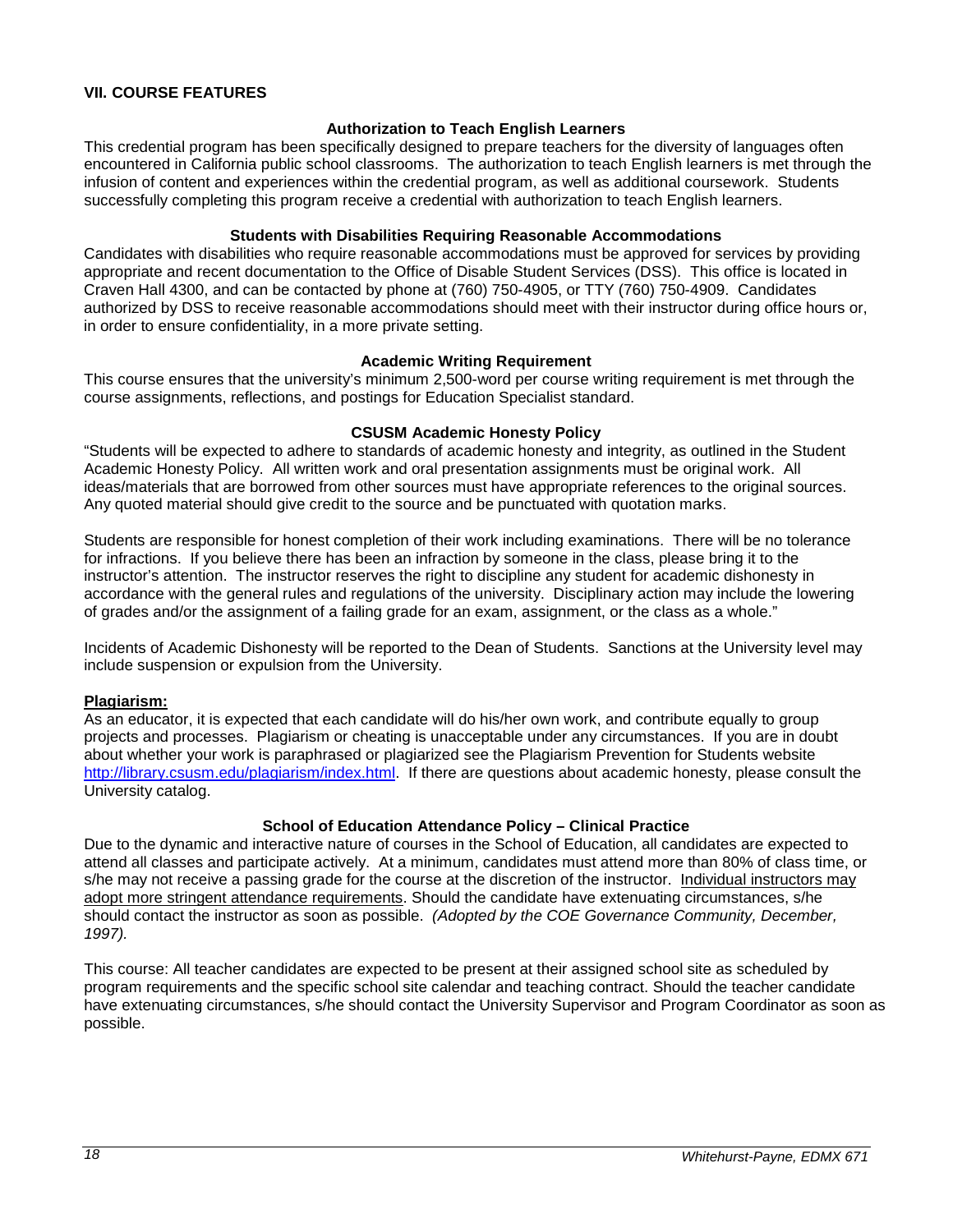### <span id="page-17-0"></span>**VII. COURSE FEATURES**

### **Authorization to Teach English Learners**

<span id="page-17-1"></span>This credential program has been specifically designed to prepare teachers for the diversity of languages often encountered in California public school classrooms. The authorization to teach English learners is met through the infusion of content and experiences within the credential program, as well as additional coursework. Students successfully completing this program receive a credential with authorization to teach English learners.

### **Students with Disabilities Requiring Reasonable Accommodations**

<span id="page-17-2"></span>Candidates with disabilities who require reasonable accommodations must be approved for services by providing appropriate and recent documentation to the Office of Disable Student Services (DSS). This office is located in Craven Hall 4300, and can be contacted by phone at (760) 750-4905, or TTY (760) 750-4909. Candidates authorized by DSS to receive reasonable accommodations should meet with their instructor during office hours or, in order to ensure confidentiality, in a more private setting.

### **Academic Writing Requirement**

<span id="page-17-3"></span>This course ensures that the university's minimum 2,500-word per course writing requirement is met through the course assignments, reflections, and postings for Education Specialist standard.

#### **CSUSM Academic Honesty Policy**

<span id="page-17-4"></span>"Students will be expected to adhere to standards of academic honesty and integrity, as outlined in the Student Academic Honesty Policy. All written work and oral presentation assignments must be original work. All ideas/materials that are borrowed from other sources must have appropriate references to the original sources. Any quoted material should give credit to the source and be punctuated with quotation marks.

Students are responsible for honest completion of their work including examinations. There will be no tolerance for infractions. If you believe there has been an infraction by someone in the class, please bring it to the instructor's attention. The instructor reserves the right to discipline any student for academic dishonesty in accordance with the general rules and regulations of the university. Disciplinary action may include the lowering of grades and/or the assignment of a failing grade for an exam, assignment, or the class as a whole."

Incidents of Academic Dishonesty will be reported to the Dean of Students. Sanctions at the University level may include suspension or expulsion from the University.

### <span id="page-17-5"></span>**Plagiarism:**

As an educator, it is expected that each candidate will do his/her own work, and contribute equally to group projects and processes. Plagiarism or cheating is unacceptable under any circumstances. If you are in doubt about whether your work is paraphrased or plagiarized see the Plagiarism Prevention for Students website [http://library.csusm.edu/plagiarism/index.html.](http://library.csusm.edu/plagiarism/index.html) If there are questions about academic honesty, please consult the University catalog.

### **School of Education Attendance Policy – Clinical Practice**

<span id="page-17-6"></span>Due to the dynamic and interactive nature of courses in the School of Education, all candidates are expected to attend all classes and participate actively. At a minimum, candidates must attend more than 80% of class time, or s/he may not receive a passing grade for the course at the discretion of the instructor. Individual instructors may adopt more stringent attendance requirements. Should the candidate have extenuating circumstances, s/he should contact the instructor as soon as possible. *(Adopted by the COE Governance Community, December, 1997).*

This course: All teacher candidates are expected to be present at their assigned school site as scheduled by program requirements and the specific school site calendar and teaching contract. Should the teacher candidate have extenuating circumstances, s/he should contact the University Supervisor and Program Coordinator as soon as possible.